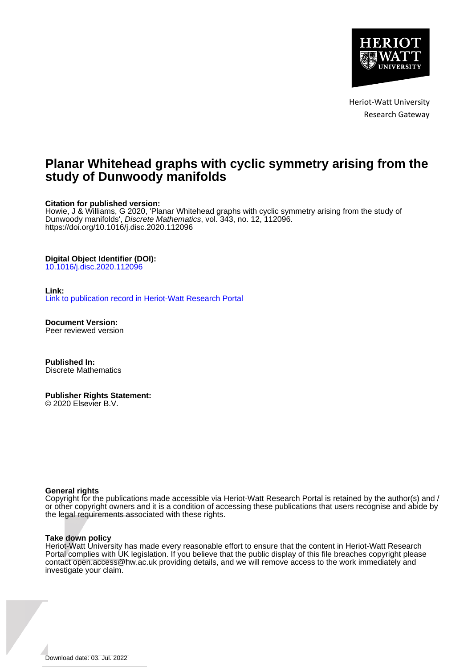

Heriot-Watt University Research Gateway

# **Planar Whitehead graphs with cyclic symmetry arising from the study of Dunwoody manifolds**

### **Citation for published version:**

Howie, J & Williams, G 2020, 'Planar Whitehead graphs with cyclic symmetry arising from the study of Dunwoody manifolds', Discrete Mathematics, vol. 343, no. 12, 112096. <https://doi.org/10.1016/j.disc.2020.112096>

### **Digital Object Identifier (DOI):**

[10.1016/j.disc.2020.112096](https://doi.org/10.1016/j.disc.2020.112096)

### **Link:**

[Link to publication record in Heriot-Watt Research Portal](https://researchportal.hw.ac.uk/en/publications/00d4800e-ba5b-4b7e-b642-cbcd7cd2e96b)

**Document Version:** Peer reviewed version

**Published In:** Discrete Mathematics

## **Publisher Rights Statement:**

© 2020 Elsevier B.V.

### **General rights**

Copyright for the publications made accessible via Heriot-Watt Research Portal is retained by the author(s) and / or other copyright owners and it is a condition of accessing these publications that users recognise and abide by the legal requirements associated with these rights.

### **Take down policy**

Heriot-Watt University has made every reasonable effort to ensure that the content in Heriot-Watt Research Portal complies with UK legislation. If you believe that the public display of this file breaches copyright please contact open.access@hw.ac.uk providing details, and we will remove access to the work immediately and investigate your claim.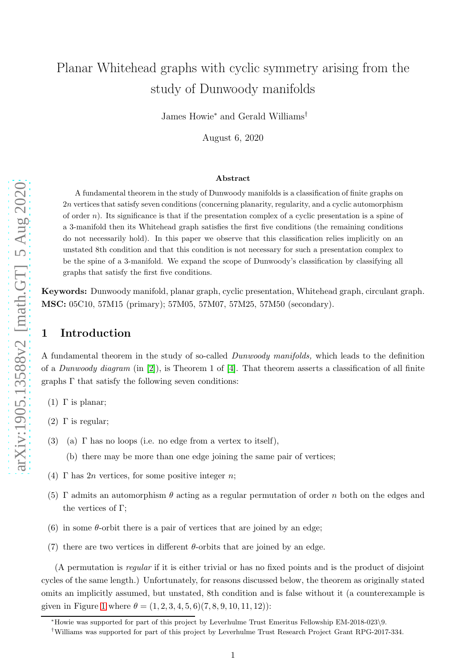# Planar Whitehead graphs with cyclic symmetry arising from the study of Dunwoody manifolds

James Howie <sup>∗</sup> and Gerald Williams †

August 6, 2020

#### Abstract

A fundamental theorem in the study of Dunwoody manifolds is a classification of finite graphs on 2 n vertices that satisfy seven conditions (concerning planarity, regularity, and a cyclic automorphism of order n). Its significance is that if the presentation complex of a cyclic presentation is a spine of a 3-manifold then its Whitehead graph satisfies the first five conditions (the remaining conditions do not necessarily hold). In this paper we observe that this classification relies implicitly on an unstated 8th condition and that this condition is not necessary for such a presentation complex to be the spine of a 3-manifold. We expand the scope of Dunwoody's classification by classifying all graphs that satisfy the first five conditions.

Keywords: Dunwoody manifold, planar graph, cyclic presentation, Whitehead graph, circulant graph. MSC: 05C10, 57M15 (primary); 57M05, 57M07, 57M25, 57M50 (secondary).

## 1 Introduction

A fundamental theorem in the study of so-called *Dunwoody manifolds,* which leads to the definition of a *Dunwoody diagram* (in [\[2\]](#page-15-0)), is Theorem 1 of [\[4\]](#page-16-0). That theorem asserts a classification of all finite graphs  $\Gamma$  that satisfy the following seven conditions:

- (1)  $\Gamma$  is planar;
- (2) Γ is regular:
- (3) (a)  $\Gamma$  has no loops (i.e. no edge from a vertex to itself),
	- (b) there may be more than one edge joining the same pair of vertices;
- (4)  $\Gamma$  has 2*n* vertices, for some positive integer *n*;
- (5)  $\Gamma$  admits an automorphism  $\theta$  acting as a regular permutation of order n both on the edges and the vertices of Γ;
- (6) in some  $\theta$ -orbit there is a pair of vertices that are joined by an edge;
- (7) there are two vertices in different  $\theta$ -orbits that are joined by an edge.

(A permutation is *regular* if it is either trivial or has no fixed points and is the product of disjoint cycles of the same length.) Unfortunately, for reasons discussed below, the theorem as originally stated omits an implicitly assumed, but unstated, 8th condition and is false without it (a counterexample is given in Figure [1](#page-18-0) where  $\theta = (1, 2, 3, 4, 5, 6)(7, 8, 9, 10, 11, 12)$ :

<sup>∗</sup>Howie was supported for part of this project by Leverhulme Trust Emeritus Fellowship EM-2018-023 \9.

<sup>†</sup>Williams was supported for part of this project by Leverhulme Trust Research Project Grant RPG-2017-334.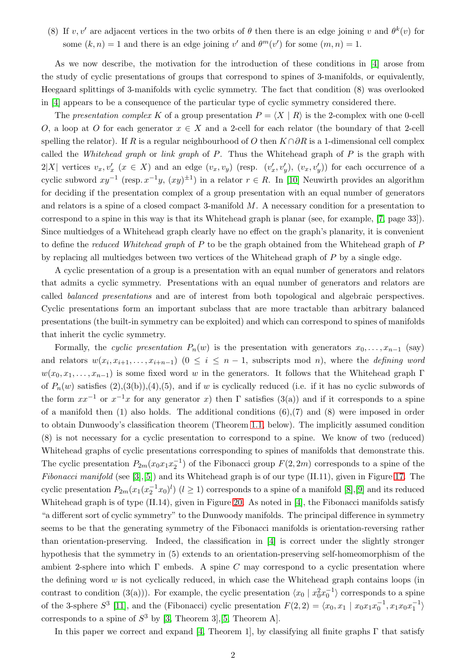(8) If v, v' are adjacent vertices in the two orbits of  $\theta$  then there is an edge joining v and  $\theta^k(v)$  for some  $(k, n) = 1$  and there is an edge joining v' and  $\theta^m(v')$  for some  $(m, n) = 1$ .

As we now describe, the motivation for the introduction of these conditions in [\[4\]](#page-16-0) arose from the study of cyclic presentations of groups that correspond to spines of 3-manifolds, or equivalently, Heegaard splittings of 3-manifolds with cyclic symmetry. The fact that condition (8) was overlooked in [\[4\]](#page-16-0) appears to be a consequence of the particular type of cyclic symmetry considered there.

The *presentation complex* K of a group presentation  $P = \langle X | R \rangle$  is the 2-complex with one 0-cell O, a loop at O for each generator  $x \in X$  and a 2-cell for each relator (the boundary of that 2-cell spelling the relator). If R is a regular neighbourhood of O then  $K \cap \partial R$  is a 1-dimensional cell complex called the *Whitehead graph* or *link graph* of P. Thus the Whitehead graph of P is the graph with  $2|X|$  vertices  $v_x, v'_x$   $(x \in X)$  and an edge  $(v_x, v_y)$  (resp.  $(v'_x, v'_y)$ ,  $(v_x, v'_y)$ ) for each occurrence of a cyclic subword  $xy^{-1}$  (resp.  $x^{-1}y$ ,  $(xy)^{\pm 1}$ ) in a relator  $r \in R$ . In [\[10\]](#page-16-1) Neuwirth provides an algorithm for deciding if the presentation complex of a group presentation with an equal number of generators and relators is a spine of a closed compact 3-manifold M. A necessary condition for a presentation to correspond to a spine in this way is that its Whitehead graph is planar (see, for example, [\[7,](#page-16-2) page 33]). Since multiedges of a Whitehead graph clearly have no effect on the graph's planarity, it is convenient to define the *reduced Whitehead graph* of P to be the graph obtained from the Whitehead graph of P by replacing all multiedges between two vertices of the Whitehead graph of P by a single edge.

A cyclic presentation of a group is a presentation with an equal number of generators and relators that admits a cyclic symmetry. Presentations with an equal number of generators and relators are called *balanced presentations* and are of interest from both topological and algebraic perspectives. Cyclic presentations form an important subclass that are more tractable than arbitrary balanced presentations (the built-in symmetry can be exploited) and which can correspond to spines of manifolds that inherit the cyclic symmetry.

Formally, the *cyclic presentation*  $P_n(w)$  is the presentation with generators  $x_0, \ldots, x_{n-1}$  (say) and relators  $w(x_i, x_{i+1}, \ldots, x_{i+n-1})$   $(0 \le i \le n-1$ , subscripts mod *n*), where the *defining word*  $w(x_0, x_1, \ldots, x_{n-1})$  is some fixed word w in the generators. It follows that the Whitehead graph Γ of  $P_n(w)$  satisfies  $(2),(3(b)),(4),(5)$ , and if w is cyclically reduced (i.e. if it has no cyclic subwords of the form  $xx^{-1}$  or  $x^{-1}x$  for any generator x) then  $\Gamma$  satisfies (3(a)) and if it corresponds to a spine of a manifold then  $(1)$  also holds. The additional conditions  $(6)$ ,  $(7)$  and  $(8)$  were imposed in order to obtain Dunwoody's classification theorem (Theorem [1.1,](#page-3-0) below). The implicitly assumed condition (8) is not necessary for a cyclic presentation to correspond to a spine. We know of two (reduced) Whitehead graphs of cyclic presentations corresponding to spines of manifolds that demonstrate this. The cyclic presentation  $P_{2m}(x_0x_1x_2^{-1})$  of the Fibonacci group  $F(2, 2m)$  corresponds to a spine of the *Fibonacci manifold* (see [\[3\]](#page-15-1),[\[5\]](#page-16-3)) and its Whitehead graph is of our type (II.11), given in Figure [17.](#page-22-0) The cyclic presentation  $P_{2m}(x_1(x_2^{-1}x_0)^l)$   $(l \ge 1)$  corresponds to a spine of a manifold [\[8\]](#page-16-4), [\[9\]](#page-16-5) and its reduced Whitehead graph is of type (II.14), given in Figure [20.](#page-22-1) As noted in [\[4\]](#page-16-0), the Fibonacci manifolds satisfy "a different sort of cyclic symmetry" to the Dunwoody manifolds. The principal difference in symmetry seems to be that the generating symmetry of the Fibonacci manifolds is orientation-reversing rather than orientation-preserving. Indeed, the classification in [\[4\]](#page-16-0) is correct under the slightly stronger hypothesis that the symmetry in (5) extends to an orientation-preserving self-homeomorphism of the ambient 2-sphere into which  $\Gamma$  embeds. A spine C may correspond to a cyclic presentation where the defining word  $w$  is not cyclically reduced, in which case the Whitehead graph contains loops (in contrast to condition (3(a))). For example, the cyclic presentation  $\langle x_0 | x_0^2 x_0^{-1} \rangle$  corresponds to a spine of the 3-sphere  $S^3$  [\[11\]](#page-16-6), and the (Fibonacci) cyclic presentation  $F(2,2) = \langle x_0, x_1 | x_0 x_1 x_0^{-1}, x_1 x_0 x_1^{-1} \rangle$ corresponds to a spine of  $S^3$  by [\[3,](#page-15-1) Theorem 3], [\[5,](#page-16-3) Theorem A].

In this paper we correct and expand [\[4,](#page-16-0) Theorem 1], by classifying all finite graphs  $\Gamma$  that satisfy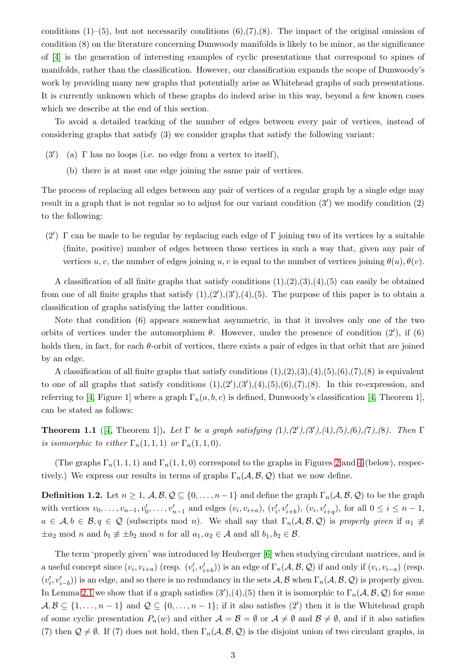conditions  $(1)$ –(5), but not necessarily conditions  $(6)$ , $(7)$ , $(8)$ . The impact of the original omission of condition (8) on the literature concerning Dunwoody manifolds is likely to be minor, as the significance of [\[4\]](#page-16-0) is the generation of interesting examples of cyclic presentations that correspond to spines of manifolds, rather than the classification. However, our classification expands the scope of Dunwoody's work by providing many new graphs that potentially arise as Whitehead graphs of such presentations. It is currently unknown which of these graphs do indeed arise in this way, beyond a few known cases which we describe at the end of this section.

To avoid a detailed tracking of the number of edges between every pair of vertices, instead of considering graphs that satisfy (3) we consider graphs that satisfy the following variant:

- (3′ ) (a) Γ has no loops (i.e. no edge from a vertex to itself),
	- (b) there is at most one edge joining the same pair of vertices.

The process of replacing all edges between any pair of vertices of a regular graph by a single edge may result in a graph that is not regular so to adjust for our variant condition (3′ ) we modify condition (2) to the following:

(2′ ) Γ can be made to be regular by replacing each edge of Γ joining two of its vertices by a suitable (finite, positive) number of edges between those vertices in such a way that, given any pair of vertices u, v, the number of edges joining u, v is equal to the number of vertices joining  $\theta(u), \theta(v)$ .

A classification of all finite graphs that satisfy conditions  $(1),(2),(3),(4),(5)$  can easily be obtained from one of all finite graphs that satisfy  $(1), (2'), (3'), (4), (5)$ . The purpose of this paper is to obtain a classification of graphs satisfying the latter conditions.

Note that condition (6) appears somewhat asymmetric, in that it involves only one of the two orbits of vertices under the automorphism  $\theta$ . However, under the presence of condition  $(2')$ , if  $(6)$ holds then, in fact, for each  $\theta$ -orbit of vertices, there exists a pair of edges in that orbit that are joined by an edge.

A classification of all finite graphs that satisfy conditions  $(1),(2),(3),(4),(5),(6),(7),(8)$  is equivalent to one of all graphs that satisfy conditions  $(1), (2'), (3'), (4), (5), (6), (7), (8)$ . In this re-expression, and referring to [\[4,](#page-16-0) Figure 1] where a graph  $\Gamma_n(a, b, c)$  is defined, Dunwoody's classification [4, Theorem 1], can be stated as follows:

<span id="page-3-0"></span>**Theorem 1.1** ([\[4,](#page-16-0) Theorem 1]). Let  $\Gamma$  be a graph satisfying  $(1), (2'), (3'), (4), (5), (6), (7), (8)$ . Then  $\Gamma$ *is isomorphic to either*  $\Gamma_n(1,1,1)$  *or*  $\Gamma_n(1,1,0)$ *.* 

(The graphs  $\Gamma_n(1,1,1)$  and  $\Gamma_n(1,1,0)$  correspond to the graphs in Figures [2](#page-18-1) and [4](#page-18-2) (below), respectively.) We express our results in terms of graphs  $\Gamma_n(\mathcal{A}, \mathcal{B}, \mathcal{Q})$  that we now define.

**Definition 1.2.** Let  $n \geq 1$ ,  $\mathcal{A}, \mathcal{B}, \mathcal{Q} \subseteq \{0, \ldots, n-1\}$  and define the graph  $\Gamma_n(\mathcal{A}, \mathcal{B}, \mathcal{Q})$  to be the graph with vertices  $v_0, \ldots, v_{n-1}, v'_0, \ldots, v'_{n-1}$  and edges  $(v_i, v_{i+a}), (v'_i, v'_{i+b}), (v_i, v'_{i+q}),$  for all  $0 \le i \le n-1$ ,  $a \in \mathcal{A}, b \in \mathcal{B}, q \in \mathcal{Q}$  (subscripts mod n). We shall say that  $\Gamma_n(\mathcal{A}, \mathcal{B}, \mathcal{Q})$  is *properly given* if  $a_1 \neq a_2$  $\pm a_2 \mod n$  and  $b_1 \not\equiv \pm b_2 \mod n$  for all  $a_1, a_2 \in \mathcal{A}$  and all  $b_1, b_2 \in \mathcal{B}$ .

The term 'properly given' was introduced by Heuberger [\[6\]](#page-16-7) when studying circulant matrices, and is a useful concept since  $(v_i, v_{i+a})$  (resp.  $(v'_i, v'_{i+b})$ ) is an edge of  $\Gamma_n(\mathcal{A}, \mathcal{B}, \mathcal{Q})$  if and only if  $(v_i, v_{i-a})$  (resp.  $(v'_i, v'_{i-b})$  is an edge, and so there is no redundancy in the sets  $\mathcal{A}, \mathcal{B}$  when  $\Gamma_n(\mathcal{A}, \mathcal{B}, \mathcal{Q})$  is properly given. In Lemma [2.1](#page-4-0) we show that if a graph satisfies  $(3')$ , $(4)$ , $(5)$  then it is isomorphic to  $\Gamma_n(\mathcal{A}, \mathcal{B}, \mathcal{Q})$  for some  $\mathcal{A}, \mathcal{B} \subseteq \{1, \ldots, n-1\}$  and  $\mathcal{Q} \subseteq \{0, \ldots, n-1\}$ ; if it also satisfies  $(2')$  then it is the Whitehead graph of some cyclic presentation  $P_n(w)$  and either  $\mathcal{A} = \mathcal{B} = \emptyset$  or  $\mathcal{A} \neq \emptyset$  and  $\mathcal{B} \neq \emptyset$ , and if it also satisfies (7) then  $\mathcal{Q} \neq \emptyset$ . If (7) does not hold, then  $\Gamma_n(\mathcal{A}, \mathcal{B}, \mathcal{Q})$  is the disjoint union of two circulant graphs, in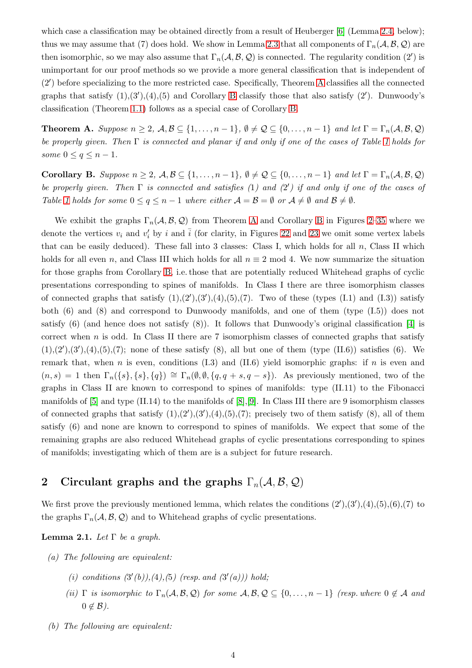which case a classification may be obtained directly from a result of Heuberger [\[6\]](#page-16-7) (Lemma [2.4,](#page-6-0) below); thus we may assume that (7) does hold. We show in Lemma [2.3](#page-6-1) that all components of  $\Gamma_n(\mathcal{A}, \mathcal{B}, \mathcal{Q})$  are then isomorphic, so we may also assume that  $\Gamma_n(\mathcal{A}, \mathcal{B}, \mathcal{Q})$  is connected. The regularity condition  $(2')$  is unimportant for our proof methods so we provide a more general classification that is independent of (2′ ) before specializing to the more restricted case. Specifically, Theorem [A](#page-4-1) classifies all the connected graphs that satisfy  $(1),(3'),(4),(5)$  and Corollary [B](#page-4-2) classify those that also satisfy  $(2')$ . Dunwoody's classification (Theorem [1.1\)](#page-3-0) follows as a special case of Corollary [B.](#page-4-2)

<span id="page-4-1"></span>**Theorem A.** *Suppose*  $n \geq 2$ *,*  $\mathcal{A}, \mathcal{B} \subseteq \{1, \ldots, n-1\}$ *,*  $\emptyset \neq \mathcal{Q} \subseteq \{0, \ldots, n-1\}$  *and let*  $\Gamma = \Gamma_n(\mathcal{A}, \mathcal{B}, \mathcal{Q})$ *be properly given. Then* Γ *is connected and planar if and only if one of the cases of Table [1](#page-17-0) holds for some*  $0 \le q \le n - 1$ *.* 

<span id="page-4-2"></span>Corollary B. *Suppose*  $n \geq 2$ ,  $\mathcal{A}, \mathcal{B} \subseteq \{1, \ldots, n-1\}, \emptyset \neq \mathcal{Q} \subseteq \{0, \ldots, n-1\}$  *and let*  $\Gamma = \Gamma_n(\mathcal{A}, \mathcal{B}, \mathcal{Q})$ *be properly given. Then* Γ *is connected and satisfies (*1*) and (*2 ′ *) if and only if one of the cases of Table* [1](#page-17-0) *holds* for some  $0 \le q \le n - 1$  *where either*  $\mathcal{A} = \mathcal{B} = \emptyset$  *or*  $\mathcal{A} \ne \emptyset$  *and*  $\mathcal{B} \ne \emptyset$ *.* 

We exhibit the graphs  $\Gamma_n(\mathcal{A}, \mathcal{B}, \mathcal{Q})$  from Theorem [A](#page-4-1) and Corollary [B](#page-4-2) in Figures [2–](#page-18-1)[35](#page-26-0) where we denote the vertices  $v_i$  and  $v'_i$  by i and  $\overline{i}$  (for clarity, in Figures [22](#page-23-0) and [23](#page-23-1) we omit some vertex labels that can be easily deduced). These fall into 3 classes: Class I, which holds for all  $n$ , Class II which holds for all even n, and Class III which holds for all  $n \equiv 2 \mod 4$ . We now summarize the situation for those graphs from Corollary [B,](#page-4-2) i.e. those that are potentially reduced Whitehead graphs of cyclic presentations corresponding to spines of manifolds. In Class I there are three isomorphism classes of connected graphs that satisfy  $(1), (2'), (3'), (4), (5), (7)$ . Two of these (types  $(1.1)$  and  $(1.3)$ ) satisfy both  $(6)$  and  $(8)$  and correspond to Dunwoody manifolds, and one of them (type  $(I.5)$ ) does not satisfy  $(6)$  (and hence does not satisfy  $(8)$ ). It follows that Dunwoody's original classification [\[4\]](#page-16-0) is correct when  $n$  is odd. In Class II there are 7 isomorphism classes of connected graphs that satisfy  $(1), (2'), (3'), (4), (5), (7);$  none of these satisfy  $(8)$ , all but one of them (type  $(II.6)$ ) satisfies  $(6)$ . We remark that, when n is even, conditions  $(1.3)$  and  $(II.6)$  yield isomorphic graphs: if n is even and  $(n, s) = 1$  then  $\Gamma_n({s}, {s}, {q}) \cong \Gamma_n(\emptyset, \emptyset, {q, q + s, q - s})$ . As previously mentioned, two of the graphs in Class II are known to correspond to spines of manifolds: type (II.11) to the Fibonacci manifolds of  $[5]$  and type  $(II.14)$  to the manifolds of  $[8], [9]$  $[8], [9]$ . In Class III there are 9 isomorphism classes of connected graphs that satisfy  $(1),(2'),(3'),(4),(5),(7)$ ; precisely two of them satisfy  $(8)$ , all of them satisfy (6) and none are known to correspond to spines of manifolds. We expect that some of the remaining graphs are also reduced Whitehead graphs of cyclic presentations corresponding to spines of manifolds; investigating which of them are is a subject for future research.

## 2 Circulant graphs and the graphs  $\Gamma_n(\mathcal{A}, \mathcal{B}, \mathcal{Q})$

We first prove the previously mentioned lemma, which relates the conditions  $(2')$ , $(3')$ , $(4)$ , $(5)$ , $(6)$ , $(7)$  to the graphs  $\Gamma_n(\mathcal{A}, \mathcal{B}, \mathcal{Q})$  and to Whitehead graphs of cyclic presentations.

<span id="page-4-0"></span>Lemma 2.1. *Let* Γ *be a graph.*

- *(a) The following are equivalent:*
	- (*i*) conditions  $(3'(b)), (4), (5)$  (resp. and  $(3'(a)))$  hold;
	- *(ii)*  $\Gamma$  *is isomorphic to*  $\Gamma_n(\mathcal{A}, \mathcal{B}, \mathcal{Q})$  *for some*  $\mathcal{A}, \mathcal{B}, \mathcal{Q} \subseteq \{0, \ldots, n-1\}$  *(resp. where*  $0 \notin \mathcal{A}$  *and*  $0 \notin \mathcal{B}$ ).
- *(b) The following are equivalent:*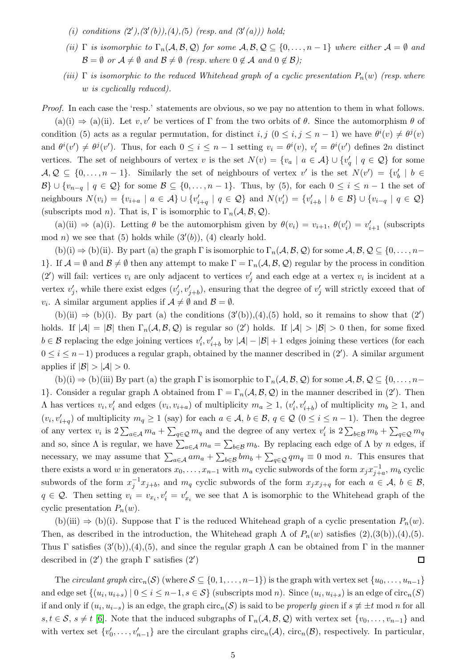- (*i*) conditions  $(2'), (3'(b)), (4), (5)$  (resp. and  $(3'(a)))$  hold;
- *(ii)*  $\Gamma$  *is isomorphic to*  $\Gamma_n(\mathcal{A}, \mathcal{B}, \mathcal{Q})$  *for some*  $\mathcal{A}, \mathcal{B}, \mathcal{Q} \subseteq \{0, \ldots, n-1\}$  *where either*  $\mathcal{A} = \emptyset$  *and*  $\mathcal{B} = \emptyset$  *or*  $\mathcal{A} \neq \emptyset$  *and*  $\mathcal{B} \neq \emptyset$  *(resp. where*  $0 \notin \mathcal{A}$  *and*  $0 \notin \mathcal{B}$ *)*;
- *(iii)*  $\Gamma$  *is isomorphic to the reduced Whitehead graph of a cyclic presentation*  $P_n(w)$  *(resp. where* w *is cyclically reduced).*

*Proof.* In each case the 'resp.' statements are obvious, so we pay no attention to them in what follows.

 $(a)(i) \Rightarrow (a)(ii)$ . Let  $v, v'$  be vertices of  $\Gamma$  from the two orbits of  $\theta$ . Since the automorphism  $\theta$  of condition (5) acts as a regular permutation, for distinct  $i, j \ (0 \leq i, j \leq n-1)$  we have  $\theta^{i}(v) \neq \theta^{j}(v)$ and  $\theta^i(v') \neq \theta^j(v')$ . Thus, for each  $0 \leq i \leq n-1$  setting  $v_i = \theta^i(v)$ ,  $v'_i = \theta^i(v')$  defines  $2n$  distinct vertices. The set of neighbours of vertex v is the set  $N(v) = \{v_a \mid a \in \mathcal{A}\}\cup \{v'_a \mid q \in \mathcal{Q}\}\)$  for some  $\mathcal{A},\mathcal{Q}\subseteq\{0,\ldots,n-1\}$ . Similarly the set of neighbours of vertex v' is the set  $N(v')=\{v'_b\mid b\in$  $\mathcal{B}\}\cup\{v_{n-q} \mid q \in \mathcal{Q}\}\)$  for some  $\mathcal{B}\subseteq\{0,\ldots,n-1\}.$  Thus, by (5), for each  $0\leq i\leq n-1$  the set of neighbours  $N(v_i) = \{v_{i+a} \mid a \in \mathcal{A}\} \cup \{v'_{i+q} \mid q \in \mathcal{Q}\}\$  and  $N(v'_i) = \{v'_{i+b} \mid b \in \mathcal{B}\} \cup \{v_{i-q} \mid q \in \mathcal{Q}\}\$ (subscripts mod *n*). That is, Γ is isomorphic to  $\Gamma_n(\mathcal{A}, \mathcal{B}, \mathcal{Q})$ .

(a)(ii)  $\Rightarrow$  (a)(i). Letting  $\theta$  be the automorphism given by  $\theta(v_i) = v_{i+1}, \theta(v'_i) = v'_{i+1}$  (subscripts mod n) we see that (5) holds while  $(3'(b))$ , (4) clearly hold.

 $(b)(i) \Rightarrow (b)(ii)$ . By part (a) the graph  $\Gamma$  is isomorphic to  $\Gamma_n(\mathcal{A}, \mathcal{B}, \mathcal{Q})$  for some  $\mathcal{A}, \mathcal{B}, \mathcal{Q} \subseteq \{0, \ldots, n-\}$ 1}. If  $\mathcal{A} = \emptyset$  and  $\mathcal{B} \neq \emptyset$  then any attempt to make  $\Gamma = \Gamma_n(\mathcal{A}, \mathcal{B}, \mathcal{Q})$  regular by the process in condition (2') will fail: vertices  $v_i$  are only adjacent to vertices  $v'_j$  and each edge at a vertex  $v_i$  is incident at a vertex  $v'_j$ , while there exist edges  $(v'_j, v'_{j+b})$ , ensuring that the degree of  $v'_j$  will strictly exceed that of  $v_i$ . A similar argument applies if  $\mathcal{A} \neq \emptyset$  and  $\mathcal{B} = \emptyset$ .

 $(b)(ii) \Rightarrow (b)(i)$ . By part (a) the conditions  $(3'(b)), (4), (5)$  hold, so it remains to show that  $(2')$ holds. If  $|A| = |B|$  then  $\Gamma_n(A, \mathcal{B}, \mathcal{Q})$  is regular so  $(2')$  holds. If  $|A| > |B| > 0$  then, for some fixed  $b \in \mathcal{B}$  replacing the edge joining vertices  $v'_i, v'_{i+b}$  by  $|\mathcal{A}| - |\mathcal{B}| + 1$  edges joining these vertices (for each  $0 \leq i \leq n-1$ ) produces a regular graph, obtained by the manner described in  $(2')$ . A similar argument applies if  $|\mathcal{B}| > |\mathcal{A}| > 0$ .

 $(b)(i) \Rightarrow (b)(iii)$  By part (a) the graph  $\Gamma$  is isomorphic to  $\Gamma_n(\mathcal{A}, \mathcal{B}, \mathcal{Q})$  for some  $\mathcal{A}, \mathcal{B}, \mathcal{Q} \subseteq \{0, \ldots, n-\}$ 1}. Consider a regular graph  $\Lambda$  obtained from  $\Gamma = \Gamma_n(\mathcal{A}, \mathcal{B}, \mathcal{Q})$  in the manner described in (2'). Then  $\Lambda$  has vertices  $v_i, v'_i$  and edges  $(v_i, v_{i+a})$  of multiplicity  $m_a \ge 1$ ,  $(v'_i, v'_{i+b})$  of multiplicity  $m_b \ge 1$ , and  $(v_i, v'_{i+q})$  of multiplicity  $m_q \ge 1$  (say) for each  $a \in \mathcal{A}, b \in \mathcal{B}, q \in \mathcal{Q}$   $(0 \le i \le n-1)$ . Then the degree of any vertex  $v_i$  is  $2\sum_{a\in\mathcal{A}}m_a + \sum_{q\in\mathcal{Q}}m_q$  and the degree of any vertex  $v'_i$  is  $2\sum_{b\in\mathcal{B}}m_b + \sum_{q\in\mathcal{Q}}m_q$ and so, since  $\Lambda$  is regular, we have  $\sum_{a\in\mathcal{A}} m_a = \sum_{b\in\mathcal{B}} m_b$ . By replacing each edge of  $\Lambda$  by n edges, if necessary, we may assume that  $\sum_{a\in\mathcal{A}}am_a+\sum_{b\in\mathcal{B}}bm_b+\sum_{q\in\mathcal{Q}}qm_q\equiv 0\ \text{mod}\ n$ . This ensures that there exists a word w in generators  $x_0, \ldots, x_{n-1}$  with  $m_a$  cyclic subwords of the form  $x_j x_{j+a}^{-1}$ ,  $m_b$  cyclic subwords of the form  $x_j^{-1}x_{j+b}$ , and  $m_q$  cyclic subwords of the form  $x_jx_{j+q}$  for each  $a \in \mathcal{A}, b \in \mathcal{B}$ ,  $q \in \mathcal{Q}$ . Then setting  $v_i = v_{x_i}, v'_i = v'_{x_i}$  we see that  $\Lambda$  is isomorphic to the Whitehead graph of the cyclic presentation  $P_n(w)$ .

(b)(iii)  $\Rightarrow$  (b)(i). Suppose that  $\Gamma$  is the reduced Whitehead graph of a cyclic presentation  $P_n(w)$ . Then, as described in the introduction, the Whitehead graph  $\Lambda$  of  $P_n(w)$  satisfies  $(2),(3(b)),(4),(5)$ . Thus  $\Gamma$  satisfies  $(3'(b))$ , (4), (5), and since the regular graph  $\Lambda$  can be obtained from  $\Gamma$  in the manner described in  $(2')$  the graph  $\Gamma$  satisfies  $(2')$  $\Box$ 

The *circulant graph*  $\text{circ}_n(\mathcal{S})$  (where  $\mathcal{S} \subseteq \{0, 1, \ldots, n-1\}$ ) is the graph with vertex set  $\{u_0, \ldots, u_{n-1}\}$ and edge set  $\{(u_i, u_{i+s}) \mid 0 \le i \le n-1, s \in S\}$  (subscripts mod n). Since  $(u_i, u_{i+s})$  is an edge of circ<sub>n</sub>(S) if and only if  $(u_i, u_{i-s})$  is an edge, the graph circ<sub>n</sub>(S) is said to be *properly given* if  $s \not\equiv \pm t \bmod n$  for all  $s, t \in S$ ,  $s \neq t$  [\[6\]](#page-16-7). Note that the induced subgraphs of  $\Gamma_n(\mathcal{A}, \mathcal{B}, \mathcal{Q})$  with vertex set  $\{v_0, \ldots, v_{n-1}\}$  and with vertex set  $\{v'_0, \ldots, v'_{n-1}\}$  are the circulant graphs  $circ_n(\mathcal{A})$ ,  $circ_n(\mathcal{B})$ , respectively. In particular,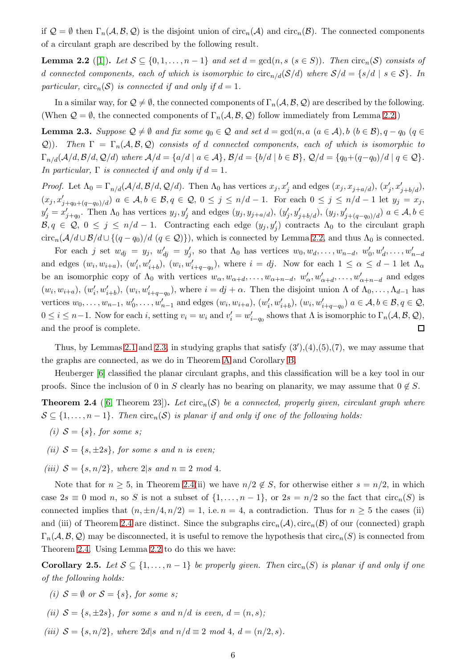if  $\mathcal{Q} = \emptyset$  then  $\Gamma_n(\mathcal{A}, \mathcal{B}, \mathcal{Q})$  is the disjoint union of circ<sub>n</sub>( $\mathcal{A}$ ) and circ<sub>n</sub>( $\mathcal{B}$ ). The connected components of a circulant graph are described by the following result.

<span id="page-6-2"></span>**Lemma 2.2** ([\[1\]](#page-15-2)). Let  $S \subseteq \{0, 1, \ldots, n-1\}$  and set  $d = \gcd(n, s \in S)$ ). Then  $\text{circ}_n(S)$  consists of d connected components, each of which is isomorphic to  $\text{circ}_{n/d}(S/d)$  where  $S/d = \{s/d \mid s \in S\}$ . In *particular,*  $circ_n(\mathcal{S})$  *is connected if and only if*  $d = 1$ *.* 

In a similar way, for  $\mathcal{Q} \neq \emptyset$ , the connected components of  $\Gamma_n(\mathcal{A}, \mathcal{B}, \mathcal{Q})$  are described by the following. (When  $\mathcal{Q} = \emptyset$ , the connected components of  $\Gamma_n(\mathcal{A}, \mathcal{B}, \mathcal{Q})$  follow immediately from Lemma [2.2.](#page-6-2))

<span id="page-6-1"></span>**Lemma 2.3.** Suppose  $\mathcal{Q} \neq \emptyset$  and fix some  $q_0 \in \mathcal{Q}$  and set  $d = \gcd(n, a \ (a \in \mathcal{A}), b \ (b \in \mathcal{B}), q - q_0 \ (q \in \mathcal{A})$  $(Q)$ )*.* Then  $\Gamma = \Gamma_n(\mathcal{A}, \mathcal{B}, \mathcal{Q})$  consists of d connected components, each of which is isomorphic to  $\Gamma_{n/d}(\mathcal{A}/d, \mathcal{B}/d, \mathcal{Q}/d)$  where  $\mathcal{A}/d = \{a/d \mid a \in \mathcal{A}\}, \mathcal{B}/d = \{b/d \mid b \in \mathcal{B}\}, \mathcal{Q}/d = \{q_0 + (q-q_0)/d \mid q \in \mathcal{Q}\}.$ *In particular,*  $\Gamma$  *is connected if and only if*  $d = 1$ *.* 

*Proof.* Let  $\Lambda_0 = \Gamma_{n/d}(\mathcal{A}/d, \mathcal{B}/d, \mathcal{Q}/d)$ . Then  $\Lambda_0$  has vertices  $x_j, x'_j$  and edges  $(x_j, x_{j+a/d}), (x'_j, x'_{j+b/d}),$  $(x_j, x'_{j+q_0+(q-q_0)/d})$   $a \in \mathcal{A}, b \in \mathcal{B}, q \in \mathcal{Q}, 0 \leq j \leq n/d-1$ . For each  $0 \leq j \leq n/d-1$  let  $y_j = x_j$ ,  $y'_j = x'_{j+q_0}$ . Then  $\Lambda_0$  has vertices  $y_j, y'_j$  and edges  $(y_j, y_{j+a/d}), (y'_j, y'_{j+b/d}), (y_j, y'_{j+(q-q_0)/d})$   $a \in \mathcal{A}, b \in$  $\mathcal{B}, q \in \mathcal{Q}, 0 \leq j \leq n/d-1$ . Contracting each edge  $(y_j, y'_j)$  contracts  $\Lambda_0$  to the circulant graph circ<sub>n</sub>( $A/d \cup B/d \cup \{(q - q_0)/d \ (q \in \mathcal{Q})\}\)$ , which is connected by Lemma [2.2,](#page-6-2) and thus  $\Lambda_0$  is connected.

For each j set  $w_{dj} = y_j$ ,  $w'_{dj} = y'_j$ , so that  $\Lambda_0$  has vertices  $w_0, w_d, \ldots, w_{n-d}, w'_0, w'_d, \ldots, w'_{n-d}$ and edges  $(w_i, w_{i+a})$ ,  $(w'_i, w'_{i+b})$ ,  $(w_i, w'_{i+q-q_0})$ , where  $i = dj$ . Now for each  $1 \leq \alpha \leq d-1$  let  $\Lambda_{\alpha}$ be an isomorphic copy of  $\Lambda_0$  with vertices  $w_\alpha, w_{\alpha+d}, \ldots, w_{\alpha+n-d}, w'_{\alpha}, w'_{\alpha+d}, \ldots, w'_{\alpha+n-d}$  and edges  $(w_i, w_{i+a}), (w'_i, w'_{i+b}), (w_i, w'_{i+q-q_0}),$  where  $i = dj + \alpha$ . Then the disjoint union  $\Lambda$  of  $\Lambda_0, \ldots, \Lambda_{d-1}$  has vertices  $w_0, \ldots, w_{n-1}, w'_0, \ldots, w'_{n-1}$  and edges  $(w_i, w_{i+a}), (w'_i, w'_{i+b}), (w_i, w'_{i+q-q_0})$   $a \in \mathcal{A}, b \in \mathcal{B}, q \in \mathcal{Q},$  $0 \leq i \leq n-1$ . Now for each i, setting  $v_i = w_i$  and  $v'_i = w'_{i-q_0}$  shows that  $\Lambda$  is isomorphic to  $\Gamma_n(\mathcal{A}, \mathcal{B}, \mathcal{Q})$ , and the proof is complete.  $\Box$ 

Thus, by Lemmas [2.1](#page-4-0) and [2.3,](#page-6-1) in studying graphs that satisfy  $(3')$ , $(4)$ , $(5)$ , $(7)$ , we may assume that the graphs are connected, as we do in Theorem [A](#page-4-1) and Corollary [B.](#page-4-2)

Heuberger [\[6\]](#page-16-7) classified the planar circulant graphs, and this classification will be a key tool in our proofs. Since the inclusion of 0 in S clearly has no bearing on planarity, we may assume that  $0 \notin S$ .

<span id="page-6-0"></span>**Theorem 2.4** ([\[6,](#page-16-7) Theorem 23]). Let  $\text{circ}_n(\mathcal{S})$  be a connected, properly given, circulant graph where  $S \subseteq \{1, \ldots, n-1\}$ . Then  $\text{circ}_n(S)$  is planar if and only if one of the following holds:

- *(i)*  $S = \{s\}$ *, for some s;*
- *(ii)*  $S = \{s, \pm 2s\}$ *, for some s and n is even;*
- *(iii)*  $S = \{s, n/2\}$ *, where* 2|s and  $n \equiv 2 \mod 4$ *.*

Note that for  $n \geq 5$ , in Theorem [2.4\(](#page-6-0)ii) we have  $n/2 \notin S$ , for otherwise either  $s = n/2$ , in which case  $2s \equiv 0 \mod n$ , so S is not a subset of  $\{1, \ldots, n-1\}$ , or  $2s = n/2$  so the fact that  $\text{circ}_n(S)$  is connected implies that  $(n, \pm n/4, n/2) = 1$ , i.e.  $n = 4$ , a contradiction. Thus for  $n \geq 5$  the cases (ii) and (iii) of Theorem [2.4](#page-6-0) are distinct. Since the subgraphs  $circ_n(\mathcal{A})$ ,  $circ_n(\mathcal{B})$  of our (connected) graph  $\Gamma_n(\mathcal{A}, \mathcal{B}, \mathcal{Q})$  may be disconnected, it is useful to remove the hypothesis that circ $_n(S)$  is connected from Theorem [2.4.](#page-6-0) Using Lemma [2.2](#page-6-2) to do this we have:

<span id="page-6-3"></span>Corollary 2.5. Let  $S \subseteq \{1, \ldots, n-1\}$  be properly given. Then  $\text{circ}_n(S)$  is planar if and only if one *of the following holds:*

- *(i)*  $S = \emptyset$  *or*  $S = \{s\}$ *, for some s;*
- *(ii)*  $S = \{s, \pm 2s\}$ , for some s and  $n/d$  *is even,*  $d = (n, s)$ ;
- *(iii)*  $S = \{s, n/2\}$ *, where*  $2d|s$  *and*  $n/d \equiv 2 \mod 4$ ,  $d = (n/2, s)$ *.*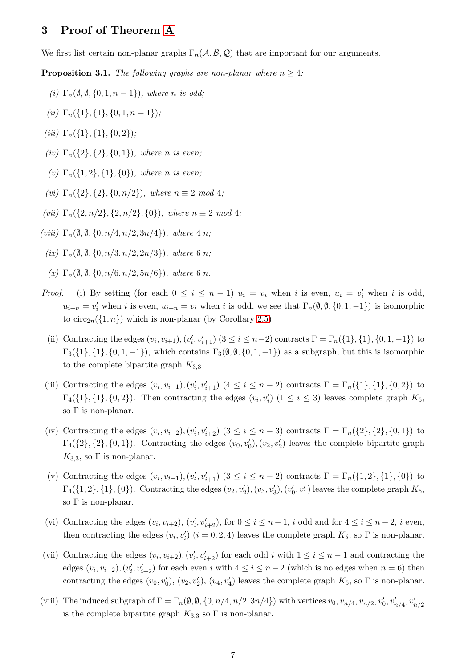## 3 Proof of Theorem [A](#page-4-1)

We first list certain non-planar graphs  $\Gamma_n(\mathcal{A}, \mathcal{B}, \mathcal{Q})$  that are important for our arguments.

<span id="page-7-0"></span>**Proposition 3.1.** *The following graphs are non-planar where*  $n \geq 4$ *:* 

- *(i)*  $\Gamma_n(\emptyset, \emptyset, \{0, 1, n-1\})$ *, where n is odd*;
- *(ii)*  $\Gamma_n({1}, {1}, {0}, 1, n-1)$ *;*
- $(iii)$   $\Gamma_n({1}, {1}, {0, 2})$ ;
- *(iv)*  $\Gamma_n({2}, {2}, {0, 1})$ *, where n is even;*
- *(v)* Γn({1, 2}, {1}, {0})*, where* n *is even;*
- *(vi)*  $\Gamma_n({2}, {2}, {0}, n/2)$ *), where*  $n \equiv 2 \mod 4$ ;
- *(vii)*  $\Gamma_n({2, n/2}, {2, n/2}, {0})$ *, where*  $n \equiv 2 \mod 4$ *;*
- $(viii)$   $\Gamma_n(\emptyset, \emptyset, \{0, n/4, n/2, 3n/4\})$ *, where*  $4|n;$ 
	- $(ix)$   $\Gamma_n(\emptyset, \emptyset, \{0, n/3, n/2, 2n/3\})$ *, where*  $6|n;$
	- $(x) \Gamma_n(\emptyset, \emptyset, \{0, n/6, n/2, 5n/6\})$ *, where* 6|*n*.
- *Proof.* (i) By setting (for each  $0 \leq i \leq n-1$ )  $u_i = v_i$  when i is even,  $u_i = v'_i$  when i is odd,  $u_{i+n} = v'_i$  when i is even,  $u_{i+n} = v_i$  when i is odd, we see that  $\Gamma_n(\emptyset, \emptyset, \{0, 1, -1\})$  is isomorphic to circ<sub>2n</sub>( $\{1, n\}$ ) which is non-planar (by Corollary [2.5\)](#page-6-3).
	- (ii) Contracting the edges  $(v_i, v_{i+1}), (v'_i, v'_{i+1})$   $(3 \le i \le n-2)$  contracts  $\Gamma = \Gamma_n({1}, {1}, {0}, 1, -1)$  to  $\Gamma_3({1}, {1}, {0, 1, -1})$ , which contains  $\Gamma_3(\emptyset, \emptyset, {0, 1, -1})$  as a subgraph, but this is isomorphic to the complete bipartite graph  $K_{3,3}$ .
- (iii) Contracting the edges  $(v_i, v_{i+1}), (v'_i, v'_{i+1})$   $(4 \le i \le n-2)$  contracts  $\Gamma = \Gamma_n({1}, {1}, {0}, 2)$  to  $\Gamma_4({1}, {1}, {0, 2})$ . Then contracting the edges  $(v_i, v'_i)$   $(1 \le i \le 3)$  leaves complete graph  $K_5$ , so  $\Gamma$  is non-planar.
- (iv) Contracting the edges  $(v_i, v_{i+2}), (v'_i, v'_{i+2})$   $(3 \le i \le n-3)$  contracts  $\Gamma = \Gamma_n({2}, {2}, {0, 1})$  to  $\Gamma_4({1, 2}, {0, 1})$ . Contracting the edges  $(v_0, v'_0), (v_2, v'_2)$  leaves the complete bipartite graph  $K_{3,3}$ , so  $\Gamma$  is non-planar.
- (v) Contracting the edges  $(v_i, v_{i+1}), (v'_i, v'_{i+1})$   $(3 \le i \le n-2)$  contracts  $\Gamma = \Gamma_n({1, 2}, {1}, {0})$  to  $\Gamma_4(\{1,2\},\{1\},\{0\})$ . Contracting the edges  $(v_2, v'_2), (v_3, v'_3), (v'_0, v'_1)$  leaves the complete graph  $K_5$ , so  $\Gamma$  is non-planar.
- (vi) Contracting the edges  $(v_i, v_{i+2}), (v'_i, v'_{i+2}),$  for  $0 \le i \le n-1$ , i odd and for  $4 \le i \le n-2$ , i even, then contracting the edges  $(v_i, v'_i)$   $(i = 0, 2, 4)$  leaves the complete graph  $K_5$ , so  $\Gamma$  is non-planar.
- (vii) Contracting the edges  $(v_i, v_{i+2}), (v'_i, v'_{i+2})$  for each odd i with  $1 \le i \le n-1$  and contracting the edges  $(v_i, v_{i+2}), (v'_i, v'_{i+2})$  for each even i with  $4 \leq i \leq n-2$  (which is no edges when  $n = 6$ ) then contracting the edges  $(v_0, v'_0)$ ,  $(v_2, v'_2)$ ,  $(v_4, v'_4)$  leaves the complete graph  $K_5$ , so  $\Gamma$  is non-planar.
- (viii) The induced subgraph of  $\Gamma = \Gamma_n(\emptyset, \emptyset, \{0, n/4, n/2, 3n/4\})$  with vertices  $v_0, v_{n/4}, v_{n/2}, v'_0, v'_{n/4}, v'_{n/2}$ is the complete bipartite graph  $K_{3,3}$  so  $\Gamma$  is non-planar.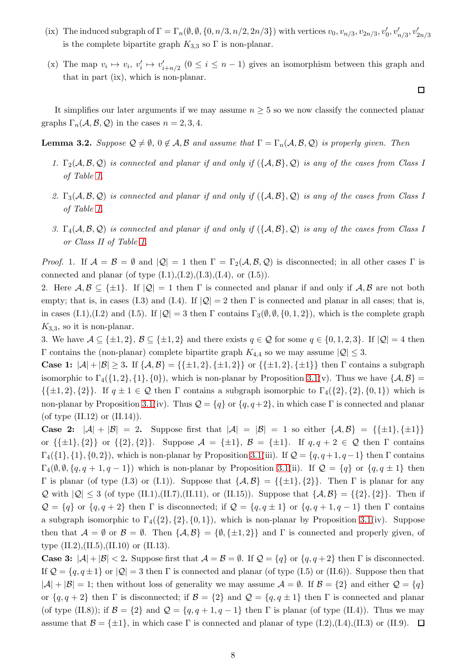- (ix) The induced subgraph of  $\Gamma = \Gamma_n(\emptyset, \emptyset, \{0, n/3, n/2, 2n/3\})$  with vertices  $v_0, v_{n/3}, v_{2n/3}, v'_0, v'_{n/3}, v'_{2n/3}$ is the complete bipartite graph  $K_{3,3}$  so  $\Gamma$  is non-planar.
- (x) The map  $v_i \mapsto v_i, v'_i \mapsto v'_{i+n/2}$   $(0 \le i \le n-1)$  gives an isomorphism between this graph and that in part (ix), which is non-planar.

 $\Box$ 

It simplifies our later arguments if we may assume  $n \geq 5$  so we now classify the connected planar graphs  $\Gamma_n(\mathcal{A}, \mathcal{B}, \mathcal{Q})$  in the cases  $n = 2, 3, 4$ .

<span id="page-8-0"></span>**Lemma 3.2.** *Suppose*  $\mathcal{Q} \neq \emptyset$ ,  $0 \notin \mathcal{A}$ ,  $\mathcal{B}$  *and assume that*  $\Gamma = \Gamma_n(\mathcal{A}, \mathcal{B}, \mathcal{Q})$  *is properly given. Then* 

- *1.*  $\Gamma_2(\mathcal{A}, \mathcal{B}, \mathcal{Q})$  *is connected and planar if and only if*  $(\{\mathcal{A}, \mathcal{B}\}, \mathcal{Q})$  *is any of the cases from Class I of Table [1.](#page-17-0)*
- *2.* Γ3(A,B, Q) *is connected and planar if and only if* ({A,B}, Q) *is any of the cases from Class I of Table [1.](#page-17-0)*
- *3.* Γ4(A,B, Q) *is connected and planar if and only if* ({A,B}, Q) *is any of the cases from Class I or Class II of Table [1.](#page-17-0)*

*Proof.* 1. If  $\mathcal{A} = \mathcal{B} = \emptyset$  and  $|\mathcal{Q}| = 1$  then  $\Gamma = \Gamma_2(\mathcal{A}, \mathcal{B}, \mathcal{Q})$  is disconnected; in all other cases  $\Gamma$  is connected and planar (of type  $(L.1), (L.2), (L.3), (L.4),$  or  $(L.5)$ ).

2. Here  $A, B \subseteq {\pm 1}$ . If  $|Q| = 1$  then  $\Gamma$  is connected and planar if and only if  $A, B$  are not both empty; that is, in cases (I.3) and (I.4). If  $|Q| = 2$  then  $\Gamma$  is connected and planar in all cases; that is, in cases (I.1),(I.2) and (I.5). If  $|\mathcal{Q}| = 3$  then  $\Gamma$  contains  $\Gamma_3(\emptyset, \emptyset, \{0, 1, 2\})$ , which is the complete graph  $K_{3,3}$ , so it is non-planar.

3. We have  $A \subseteq {\pm 1, 2}$ ,  $B \subseteq {\pm 1, 2}$  and there exists  $q \in \mathcal{Q}$  for some  $q \in \{0, 1, 2, 3\}$ . If  $|\mathcal{Q}| = 4$  then Γ contains the (non-planar) complete bipartite graph  $K_{4,4}$  so we may assume  $|Q| \leq 3$ .

Case 1:  $|A| + |B| \ge 3$ . If  $\{A, B\} = {\{\pm 1, 2\}, \{\pm 1, 2\}}$  or  $\{\{\pm 1, 2\}, \{\pm 1\}\}\$  then  $\Gamma$  contains a subgraph isomorphic to  $\Gamma_4(\{1,2\},\{1\},\{0\})$ , which is non-planar by Proposition [3.1\(](#page-7-0)v). Thus we have  $\{\mathcal{A},\mathcal{B}\}$  =  $\{\{\pm 1, 2\}, \{2\}\}\.$  If  $q \pm 1 \in \mathcal{Q}$  then  $\Gamma$  contains a subgraph isomorphic to  $\Gamma_4(\{2\}, \{2\}, \{0, 1\})$  which is non-planar by Proposition [3.1\(](#page-7-0)iv). Thus  $\mathcal{Q} = \{q\}$  or  $\{q, q+2\}$ , in which case Γ is connected and planar (of type  $(II.12)$  or  $(II.14)$ ).

**Case 2:**  $|\mathcal{A}| + |\mathcal{B}| = 2$ . Suppose first that  $|\mathcal{A}| = |\mathcal{B}| = 1$  so either  $\{\mathcal{A}, \mathcal{B}\} = {\{\pm 1\}, \{\pm 1\}\}\$ or  $\{\{\pm 1\},\{2\}\}\$  or  $\{\{2\},\{2\}\}\$ . Suppose  $\mathcal{A} = \{\pm 1\}$ ,  $\mathcal{B} = \{\pm 1\}$ . If  $q, q + 2 \in \mathcal{Q}$  then  $\Gamma$  contains  $\Gamma_4({1}, {1}, {0, 2})$ , which is non-planar by Proposition [3.1\(](#page-7-0)iii). If  $\mathcal{Q} = \{q, q+1, q-1\}$  then  $\Gamma$  contains  $\Gamma_4(\emptyset, \emptyset, \{q, q+1, q-1\})$  which is non-planar by Proposition [3.1\(](#page-7-0)ii). If  $\mathcal{Q} = \{q\}$  or  $\{q, q \pm 1\}$  then Γ is planar (of type (I.3) or (I.1)). Suppose that  $\{A, B\} = \{\{\pm 1\}, \{2\}\}\.$  Then Γ is planar for any Q with  $|Q| \le 3$  (of type (II.1),(II.7),(II.11), or (II.15)). Suppose that  $\{A, B\} = \{\{2\}, \{2\}\}\$ . Then if  $\mathcal{Q} = \{q\}$  or  $\{q, q+2\}$  then  $\Gamma$  is disconnected; if  $\mathcal{Q} = \{q, q \pm 1\}$  or  $\{q, q+1, q-1\}$  then  $\Gamma$  contains a subgraph isomorphic to  $\Gamma_4({2}, {2}, {0, 1})$ , which is non-planar by Proposition [3.1\(](#page-7-0)iv). Suppose then that  $A = \emptyset$  or  $B = \emptyset$ . Then  $\{A, B\} = \{\emptyset, \{\pm 1, 2\}\}\$ and  $\Gamma$  is connected and properly given, of type  $(II.2), (II.5), (II.10)$  or  $(II.13)$ .

**Case 3:**  $|\mathcal{A}| + |\mathcal{B}| < 2$ . Suppose first that  $\mathcal{A} = \mathcal{B} = \emptyset$ . If  $\mathcal{Q} = \{q\}$  or  $\{q, q+2\}$  then  $\Gamma$  is disconnected. If  $\mathcal{Q} = \{q, q \pm 1\}$  or  $|\mathcal{Q}| = 3$  then  $\Gamma$  is connected and planar (of type (I.5) or (II.6)). Suppose then that  $|A| + |B| = 1$ ; then without loss of generality we may assume  $A = \emptyset$ . If  $B = \{2\}$  and either  $\mathcal{Q} = \{q\}$ or  $\{q, q+2\}$  then  $\Gamma$  is disconnected; if  $\mathcal{B} = \{2\}$  and  $\mathcal{Q} = \{q, q \pm 1\}$  then  $\Gamma$  is connected and planar (of type (II.8)); if  $\mathcal{B} = \{2\}$  and  $\mathcal{Q} = \{q, q + 1, q - 1\}$  then  $\Gamma$  is planar (of type (II.4)). Thus we may assume that  $\mathcal{B} = \{\pm 1\}$ , in which case  $\Gamma$  is connected and planar of type (I.2),(I.4),(II.3) or (II.9).  $\Box$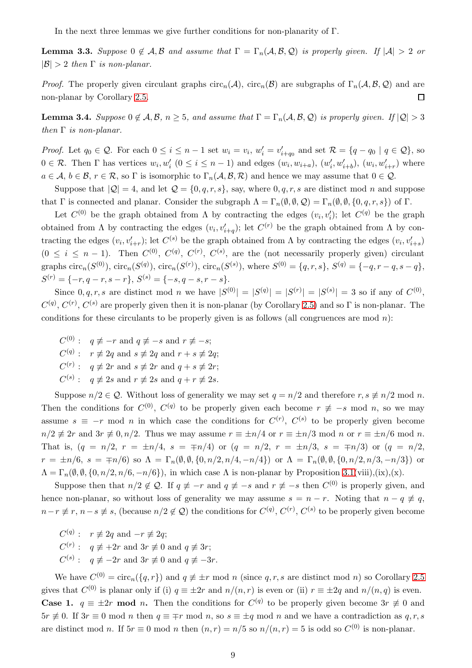In the next three lemmas we give further conditions for non-planarity of Γ.

<span id="page-9-1"></span>**Lemma 3.3.** Suppose  $0 \notin A$ , B and assume that  $\Gamma = \Gamma_n(A, \mathcal{B}, \mathcal{Q})$  is properly given. If  $|A| > 2$  or  $|\mathcal{B}| > 2$  *then*  $\Gamma$  *is non-planar.* 

*Proof.* The properly given circulant graphs  $\text{circ}_n(\mathcal{A})$ ,  $\text{circ}_n(\mathcal{B})$  are subgraphs of  $\Gamma_n(\mathcal{A}, \mathcal{B}, \mathcal{Q})$  and are non-planar by Corollary [2.5.](#page-6-3)  $\Box$ 

<span id="page-9-0"></span>**Lemma 3.4.** *Suppose*  $0 \notin A, B, n \ge 5$ *, and assume that*  $\Gamma = \Gamma_n(A, B, Q)$  *is properly given.* If  $|Q| > 3$ *then* Γ *is non-planar.*

*Proof.* Let  $q_0 \in \mathcal{Q}$ . For each  $0 \leq i \leq n-1$  set  $w_i = v_i$ ,  $w'_i = v'_{i+q_0}$  and set  $\mathcal{R} = \{q - q_0 \mid q \in \mathcal{Q}\}$ , so  $0 \in \mathcal{R}$ . Then  $\Gamma$  has vertices  $w_i, w'_i \ (0 \leq i \leq n-1)$  and edges  $(w_i, w_{i+a})$ ,  $(w'_i, w'_{i+b})$ ,  $(w_i, w'_{i+r})$  where  $a \in \mathcal{A}, b \in \mathcal{B}, r \in \mathcal{R}$ , so  $\Gamma$  is isomorphic to  $\Gamma_n(\mathcal{A}, \mathcal{B}, \mathcal{R})$  and hence we may assume that  $0 \in \mathcal{Q}$ .

Suppose that  $|Q| = 4$ , and let  $Q = \{0, q, r, s\}$ , say, where  $0, q, r, s$  are distinct mod n and suppose that Γ is connected and planar. Consider the subgraph  $\Lambda = \Gamma_n(\emptyset, \emptyset, \mathcal{Q}) = \Gamma_n(\emptyset, \emptyset, \{0, q, r, s\})$  of Γ.

Let  $C^{(0)}$  be the graph obtained from  $\Lambda$  by contracting the edges  $(v_i, v'_i)$ ; let  $C^{(q)}$  be the graph obtained from  $\Lambda$  by contracting the edges  $(v_i, v'_{i+q})$ ; let  $C^{(r)}$  be the graph obtained from  $\Lambda$  by contracting the edges  $(v_i, v'_{i+r})$ ; let  $C^{(s)}$  be the graph obtained from  $\Lambda$  by contracting the edges  $(v_i, v'_{i+s})$  $(0 \leq i \leq n-1)$ . Then  $C^{(0)}$ ,  $C^{(q)}$ ,  $C^{(r)}$ ,  $C^{(s)}$ , are the (not necessarily properly given) circulant graphs  $circ_n(S^{(0)})$ ,  $circ_n(S^{(q)})$ ,  $circ_n(S^{(r)})$ ,  $circ_n(S^{(s)})$ , where  $S^{(0)} = \{q, r, s\}$ ,  $S^{(q)} = \{-q, r - q, s - q\}$ ,  $S^{(r)} = \{-r, q-r, s-r\}, S^{(s)} = \{-s, q-s, r-s\}.$ 

Since  $0, q, r, s$  are distinct mod n we have  $|S^{(0)}| = |S^{(q)}| = |S^{(r)}| = |S^{(s)}| = 3$  so if any of  $C^{(0)}$ ,  $C^{(q)}$ ,  $C^{(r)}$ ,  $C^{(s)}$  are properly given then it is non-planar (by Corollary [2.5\)](#page-6-3) and so  $\Gamma$  is non-planar. The conditions for these circulants to be properly given is as follows (all congruences are mod  $n$ ):

- $C^{(0)}: q \not\equiv -r \text{ and } q \not\equiv -s \text{ and } r \not\equiv -s;$
- $C^{(q)}: r \not\equiv 2q$  and  $s \not\equiv 2q$  and  $r + s \not\equiv 2q$ ;
- $C^{(r)}: q \not\equiv 2r$  and  $s \not\equiv 2r$  and  $q + s \not\equiv 2r$ ;
- $C^{(s)}: q \not\equiv 2s \text{ and } r \not\equiv 2s \text{ and } q+r \not\equiv 2s.$

Suppose  $n/2 \in \mathcal{Q}$ . Without loss of generality we may set  $q = n/2$  and therefore  $r, s \neq n/2 \mod n$ . Then the conditions for  $C^{(0)}$ ,  $C^{(q)}$  to be properly given each become  $r \neq -s$  mod n, so we may assume  $s \equiv -r \mod n$  in which case the conditions for  $C^{(r)}$ ,  $C^{(s)}$  to be properly given become  $n/2 \not\equiv 2r$  and  $3r \not\equiv 0, n/2$ . Thus we may assume  $r \equiv \pm n/4$  or  $r \equiv \pm n/3$  mod n or  $r \equiv \pm n/6$  mod n. That is,  $(q = n/2, r = \pm n/4, s = \mp n/4)$  or  $(q = n/2, r = \pm n/3, s = \mp n/3)$  or  $(q = n/2, r = \pm n/4, s = \mp n/4)$  $r = \pm n/6$ ,  $s = \mp n/6$ ) so  $\Lambda = \Gamma_n(\emptyset, \emptyset, \{0, n/2, n/4, -n/4\})$  or  $\Lambda = \Gamma_n(\emptyset, \emptyset, \{0, n/2, n/3, -n/3\})$  or  $\Lambda = \Gamma_n(\emptyset, \emptyset, \{0, n/2, n/6, -n/6\})$ , in which case  $\Lambda$  is non-planar by Proposition [3.1\(](#page-7-0)viii),(ix),(x).

Suppose then that  $n/2 \notin \mathcal{Q}$ . If  $q \not\equiv -r$  and  $q \not\equiv -s$  and  $r \not\equiv -s$  then  $C^{(0)}$  is properly given, and hence non-planar, so without loss of generality we may assume  $s = n - r$ . Noting that  $n - q \neq q$ ,  $n-r \not\equiv r, n-s \not\equiv s$ , (because  $n/2 \not\in \mathcal{Q}$ ) the conditions for  $C^{(q)}, C^{(r)}, C^{(s)}$  to be properly given become

- $C^{(q)}: r \not\equiv 2q$  and  $-r \not\equiv 2q$ ;
- $C^{(r)}: q \not\equiv +2r$  and  $3r \not\equiv 0$  and  $q \not\equiv 3r;$
- $C^{(s)}: q \not\equiv -2r$  and  $3r \not\equiv 0$  and  $q \not\equiv -3r$ .

We have  $C^{(0)} = \text{circ}_n(\lbrace q, r \rbrace)$  and  $q \not\equiv \pm r \mod n$  (since  $q, r, s$  are distinct mod n) so Corollary [2.5](#page-6-3) gives that  $C^{(0)}$  is planar only if (i)  $q \equiv \pm 2r$  and  $n/(n,r)$  is even or (ii)  $r \equiv \pm 2q$  and  $n/(n,q)$  is even. **Case 1.**  $q \equiv \pm 2r \mod n$ . Then the conditions for  $C^{(q)}$  to be properly given become  $3r \not\equiv 0$  and  $5r \neq 0$ . If  $3r \equiv 0 \mod n$  then  $q \equiv \mp r \mod n$ , so  $s \equiv \pm q \mod n$  and we have a contradiction as  $q, r, s$ are distinct mod n. If  $5r \equiv 0 \mod n$  then  $(n,r) = n/5$  so  $n/(n,r) = 5$  is odd so  $C^{(0)}$  is non-planar.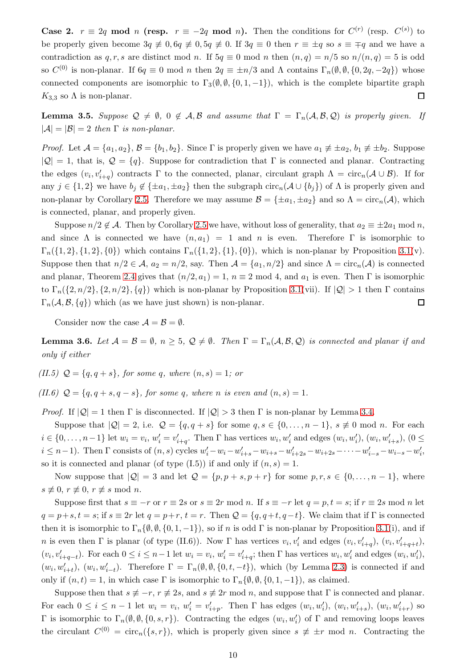**Case 2.**  $r \equiv 2q \mod n$  (resp.  $r \equiv -2q \mod n$ ). Then the conditions for  $C^{(r)}$  (resp.  $C^{(s)}$ ) to be properly given become  $3q \neq 0, 6q \neq 0, 5q \neq 0$ . If  $3q \equiv 0$  then  $r \equiv \pm q$  so  $s \equiv \mp q$  and we have a contradiction as q, r, s are distinct mod n. If  $5q \equiv 0 \mod n$  then  $(n,q) = n/5$  so  $n/(n,q) = 5$  is odd so  $C^{(0)}$  is non-planar. If  $6q \equiv 0 \mod n$  then  $2q \equiv \pm n/3$  and  $\Lambda$  contains  $\Gamma_n(\emptyset, \emptyset, \{0, 2q, -2q\})$  whose connected components are isomorphic to  $\Gamma_3(\emptyset, \emptyset, \{0, 1, -1\})$ , which is the complete bipartite graph  $K_{3,3}$  so  $\Lambda$  is non-planar.  $\Box$ 

<span id="page-10-1"></span>**Lemma 3.5.** *Suppose*  $\mathcal{Q} \neq \emptyset$ ,  $0 \notin \mathcal{A}, \mathcal{B}$  *and assume that*  $\Gamma = \Gamma_n(\mathcal{A}, \mathcal{B}, \mathcal{Q})$  *is properly given. If*  $|\mathcal{A}| = |\mathcal{B}| = 2$  *then*  $\Gamma$  *is non-planar.* 

*Proof.* Let  $\mathcal{A} = \{a_1, a_2\}, \mathcal{B} = \{b_1, b_2\}.$  Since  $\Gamma$  is properly given we have  $a_1 \not\equiv \pm a_2, b_1 \not\equiv \pm b_2.$  Suppose  $|Q| = 1$ , that is,  $Q = \{q\}$ . Suppose for contradiction that Γ is connected and planar. Contracting the edges  $(v_i, v'_{i+q})$  contracts  $\Gamma$  to the connected, planar, circulant graph  $\Lambda = \text{circ}_n(\mathcal{A} \cup \mathcal{B})$ . If for any  $j \in \{1,2\}$  we have  $b_j \notin \{\pm a_1, \pm a_2\}$  then the subgraph  $\text{circ}_n(\mathcal{A} \cup \{b_j\})$  of  $\Lambda$  is properly given and non-planar by Corollary [2.5.](#page-6-3) Therefore we may assume  $\mathcal{B} = {\pm a_1, \pm a_2}$  and so  $\Lambda = \text{circ}_n(\mathcal{A})$ , which is connected, planar, and properly given.

Suppose  $n/2 \notin \mathcal{A}$ . Then by Corollary [2.5](#page-6-3) we have, without loss of generality, that  $a_2 \equiv \pm 2a_1 \mod n$ , and since  $\Lambda$  is connected we have  $(n, a_1) = 1$  and n is even. Therefore  $\Gamma$  is isomorphic to  $\Gamma_n({1, 2}, {1, 2}, {0})$  which contains  $\Gamma_n({1, 2}, {1}, {0})$ , which is non-planar by Proposition [3.1\(](#page-7-0)v). Suppose then that  $n/2 \in \mathcal{A}$ ,  $a_2 = n/2$ , say. Then  $\mathcal{A} = \{a_1, n/2\}$  and since  $\Lambda = \text{circ}_n(\mathcal{A})$  is connected and planar, Theorem [2.4](#page-6-0) gives that  $(n/2, a_1) = 1$ ,  $n \equiv 2 \mod 4$ , and  $a_1$  is even. Then  $\Gamma$  is isomorphic to  $\Gamma_n({2,n/2}, {2,n/2}, {q})$  which is non-planar by Proposition [3.1\(](#page-7-0)vii). If  $|Q| > 1$  then  $\Gamma$  contains  $\Gamma_n(\mathcal{A}, \mathcal{B}, \{q\})$  which (as we have just shown) is non-planar.  $\Box$ 

Consider now the case  $\mathcal{A} = \mathcal{B} = \emptyset$ .

<span id="page-10-0"></span>**Lemma 3.6.** Let  $\mathcal{A} = \mathcal{B} = \emptyset$ ,  $n \geq 5$ ,  $\mathcal{Q} \neq \emptyset$ . Then  $\Gamma = \Gamma_n(\mathcal{A}, \mathcal{B}, \mathcal{Q})$  is connected and planar if and *only if either*

*(II.5)*  $Q = \{q, q + s\}$ *, for some q, where*  $(n, s) = 1$ *; or* 

*(II.6)*  $Q = \{q, q + s, q - s\}$ , for some q, where n is even and  $(n, s) = 1$ .

*Proof.* If  $|Q| = 1$  then  $\Gamma$  is disconnected. If  $|Q| > 3$  then  $\Gamma$  is non-planar by Lemma [3.4.](#page-9-0)

Suppose that  $|Q| = 2$ , i.e.  $Q = \{q, q + s\}$  for some  $q, s \in \{0, ..., n-1\}$ ,  $s \not\equiv 0 \mod n$ . For each  $i \in \{0, \ldots, n-1\}$  let  $w_i = v_i$ ,  $w'_i = v'_{i+q}$ . Then  $\Gamma$  has vertices  $w_i, w'_i$  and edges  $(w_i, w'_i)$ ,  $(w_i, w'_{i+s})$ ,  $(0 \leq$  $i \leq n-1$ ). Then  $\Gamma$  consists of  $(n, s)$  cycles  $w'_i - w_i - w'_{i+s} - w_{i+s} - w'_{i+2s} - w_{i+2s} - \cdots - w'_{i-s} - w_{i-s} - w'_{i}$ so it is connected and planar (of type  $(I.5)$ ) if and only if  $(n, s) = 1$ .

Now suppose that  $|Q| = 3$  and let  $Q = \{p, p + s, p + r\}$  for some  $p, r, s \in \{0, \ldots, n - 1\}$ , where  $s \not\equiv 0, r \not\equiv 0, r \not\equiv s \mod n.$ 

Suppose first that  $s \equiv -r$  or  $r \equiv 2s$  or  $s \equiv 2r \mod n$ . If  $s \equiv -r$  let  $q = p, t = s$ ; if  $r \equiv 2s \mod n$  let  $q = p+s, t = s$ ; if  $s \equiv 2r$  let  $q = p+r, t = r$ . Then  $\mathcal{Q} = \{q, q+t, q-t\}$ . We claim that if  $\Gamma$  is connected then it is isomorphic to  $\Gamma_n\{\emptyset, \emptyset, \{0, 1, -1\}\}\)$ , so if n is odd  $\Gamma$  is non-planar by Proposition [3.1\(](#page-7-0)i), and if n is even then  $\Gamma$  is planar (of type (II.6)). Now  $\Gamma$  has vertices  $v_i, v'_i$  and edges  $(v_i, v'_{i+q})$ ,  $(v_i, v'_{i+q+t})$ ,  $(v_i, v'_{i+q-t})$ . For each  $0 \le i \le n-1$  let  $w_i = v_i$ ,  $w'_i = v'_{i+q}$ ; then  $\Gamma$  has vertices  $w_i, w'_i$  and edges  $(w_i, w'_i)$ ,  $(w_i, w'_{i+t}), (w_i, w'_{i-t}).$  Therefore  $\Gamma = \Gamma_n(\emptyset, \emptyset, \{0, t, -t\}),$  which (by Lemma [2.3\)](#page-6-1) is connected if and only if  $(n, t) = 1$ , in which case Γ is isomorphic to  $\Gamma_n \{ \emptyset, \emptyset, \{0, 1, -1\} \}$ , as claimed.

Suppose then that  $s \neq -r$ ,  $r \neq 2s$ , and  $s \neq 2r \mod n$ , and suppose that  $\Gamma$  is connected and planar. For each  $0 \leq i \leq n-1$  let  $w_i = v_i$ ,  $w'_i = v'_{i+p}$ . Then  $\Gamma$  has edges  $(w_i, w'_i)$ ,  $(w_i, w'_{i+s})$ ,  $(w_i, w'_{i+r})$  so Γ is isomorphic to  $\Gamma_n(\emptyset, \emptyset, \{0, s, r\})$ . Contracting the edges  $(w_i, w'_i)$  of Γ and removing loops leaves the circulant  $C^{(0)} = \text{circ}_n({s, r})$ , which is properly given since  $s \neq \pm r$  mod n. Contracting the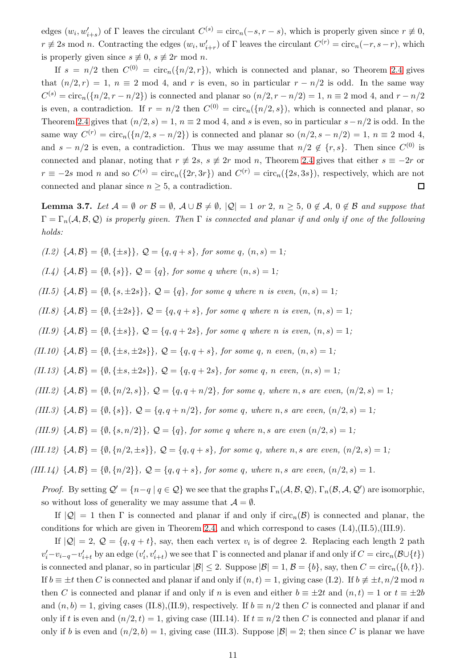edges  $(w_i, w'_{i+s})$  of  $\Gamma$  leaves the circulant  $C^{(s)} = \text{circ}_n(-s, r - s)$ , which is properly given since  $r \neq 0$ ,  $r \neq 2s$  mod n. Contracting the edges  $(w_i, w'_{i+r})$  of  $\Gamma$  leaves the circulant  $C^{(r)} = \text{circ}_n(-r, s-r)$ , which is properly given since  $s \neq 0$ ,  $s \neq 2r \mod n$ .

If  $s = n/2$  then  $C^{(0)} = \text{circ}_n(\{n/2, r\})$ , which is connected and planar, so Theorem [2.4](#page-6-0) gives that  $(n/2, r) = 1$ ,  $n \equiv 2 \mod 4$ , and r is even, so in particular  $r - n/2$  is odd. In the same way  $C^{(s)} = \text{circ}_n(\{n/2, r - n/2\})$  is connected and planar so  $(n/2, r - n/2) = 1$ ,  $n \equiv 2 \mod 4$ , and  $r - n/2$ is even, a contradiction. If  $r = n/2$  then  $C^{(0)} = \text{circ}_n(\{n/2, s\})$ , which is connected and planar, so Theorem [2.4](#page-6-0) gives that  $(n/2, s) = 1$ ,  $n \equiv 2 \mod 4$ , and s is even, so in particular  $s - n/2$  is odd. In the same way  $C^{(r)} = \text{circ}_n(\lbrace n/2, s - n/2 \rbrace)$  is connected and planar so  $(n/2, s - n/2) = 1, n \equiv 2 \mod 4$ , and  $s - n/2$  is even, a contradiction. Thus we may assume that  $n/2 \notin \{r, s\}$ . Then since  $C^{(0)}$  is connected and planar, noting that  $r \neq 2s$ ,  $s \neq 2r \mod n$ , Theorem [2.4](#page-6-0) gives that either  $s \equiv -2r$  or  $r \equiv -2s \mod n$  and so  $C^{(s)} = \text{circ}_n({2r, 3r})$  and  $C^{(r)} = \text{circ}_n({2s, 3s})$ , respectively, which are not connected and planar since  $n \geq 5$ , a contradiction.  $\Box$ 

<span id="page-11-0"></span>**Lemma 3.7.** Let  $\mathcal{A} = \emptyset$  or  $\mathcal{B} = \emptyset$ ,  $\mathcal{A} \cup \mathcal{B} \neq \emptyset$ ,  $|\mathcal{Q}| = 1$  or 2,  $n > 5$ ,  $0 \notin \mathcal{A}$ ,  $0 \notin \mathcal{B}$  and suppose that  $\Gamma = \Gamma_n(\mathcal{A}, \mathcal{B}, \mathcal{Q})$  *is properly given. Then*  $\Gamma$  *is connected and planar if and only if one of the following holds:*

*(I.2)*  $\{A, B\} = \{\emptyset, \{\pm s\}\}, Q = \{q, q + s\}, \text{ for some } q, (n, s) = 1;$ 

*(I.4)*  $\{A, B\} = \{\emptyset, \{s\}\}, Q = \{q\}, \text{ for some } q \text{ where } (n, s) = 1;$ 

*(II.5)*  $\{A, B\} = \{\emptyset, \{s, \pm 2s\}\}, Q = \{q\}$ , for some q where n is even,  $(n, s) = 1$ ;

*(II.8)*  $\{A, B\} = \{\emptyset, \{\pm 2s\}\}, Q = \{q, q + s\}, \text{ for some } q \text{ where } n \text{ is even, } (n, s) = 1;$ 

*(II.9)*  $\{A, B\} = \{\emptyset, \{\pm s\}\}, Q = \{q, q + 2s\}, \text{ for some } q \text{ where } n \text{ is even, } (n, s) = 1;$ 

*(II.10)*  $\{A, B\} = \{\emptyset, \{\pm s, \pm 2s\}\}, Q = \{q, q + s\}, \text{ for some } q, n \text{ even}, (n, s) = 1;$ 

 $(II.13) \{A, B\} = \{\emptyset, \{\pm s, \pm 2s\}\}, Q = \{q, q + 2s\}, \text{ for some } q, n \text{ even}, (n, s) = 1;$ 

*(III.2)*  $\{A, B\} = \{\emptyset, \{n/2, s\}\}, Q = \{q, q + n/2\}, \text{ for some } q, \text{ where } n, s \text{ are even, } (n/2, s) = 1;$ 

*(III.3)*  $\{A, B\} = \{\emptyset, \{s\}\}, Q = \{q, q + n/2\}, \text{ for some } q, \text{ where } n, s \text{ are even}, (n/2, s) = 1;$ 

*(III.9)*  $\{A, B\} = \{\emptyset, \{s, n/2\}\}, Q = \{q\}, \text{ for some } q \text{ where } n, s \text{ are even } (n/2, s) = 1;$ 

*(III.12)*  $\{A, B\} = \{\emptyset, \{n/2, \pm s\}\}, Q = \{q, q + s\}, \text{ for some } q, \text{ where } n, s \text{ are even, } (n/2, s) = 1;$ 

*(III.14)*  $\{A, B\} = \{\emptyset, \{n/2\}\}, Q = \{q, q + s\}, \text{ for some } q, \text{ where } n, s \text{ are even}, (n/2, s) = 1.$ 

*Proof.* By setting  $\mathcal{Q}' = \{n-q \mid q \in \mathcal{Q}\}\$  we see that the graphs  $\Gamma_n(\mathcal{A}, \mathcal{B}, \mathcal{Q})$ ,  $\Gamma_n(\mathcal{B}, \mathcal{A}, \mathcal{Q}')$  are isomorphic, so without loss of generality we may assume that  $\mathcal{A} = \emptyset$ .

If  $|Q| = 1$  then  $\Gamma$  is connected and planar if and only if  $circ_n(\mathcal{B})$  is connected and planar, the conditions for which are given in Theorem [2.4,](#page-6-0) and which correspond to cases  $(1.4),(II.5),(III.9)$ .

If  $|Q| = 2$ ,  $Q = \{q, q + t\}$ , say, then each vertex  $v_i$  is of degree 2. Replacing each length 2 path  $v'_i-v_{i-q}-v'_{i+t}$  by an edge  $(v'_i,v'_{i+t})$  we see that  $\Gamma$  is connected and planar if and only if  $C=\text{circ}_n(\mathcal{B}\cup\{t\})$ is connected and planar, so in particular  $|\mathcal{B}| \leq 2$ . Suppose  $|\mathcal{B}| = 1$ ,  $\mathcal{B} = \{b\}$ , say, then  $C = \text{circ}_n(\{b, t\})$ . If  $b \equiv \pm t$  then C is connected and planar if and only if  $(n, t) = 1$ , giving case (I.2). If  $b \not\equiv \pm t$ ,  $n/2$  mod n then C is connected and planar if and only if n is even and either  $b \equiv \pm 2t$  and  $(n, t) = 1$  or  $t \equiv \pm 2b$ and  $(n, b) = 1$ , giving cases (II.8),(II.9), respectively. If  $b \equiv n/2$  then C is connected and planar if and only if t is even and  $(n/2, t) = 1$ , giving case (III.14). If  $t \equiv n/2$  then C is connected and planar if and only if b is even and  $(n/2, b) = 1$ , giving case (III.3). Suppose  $|\mathcal{B}| = 2$ ; then since C is planar we have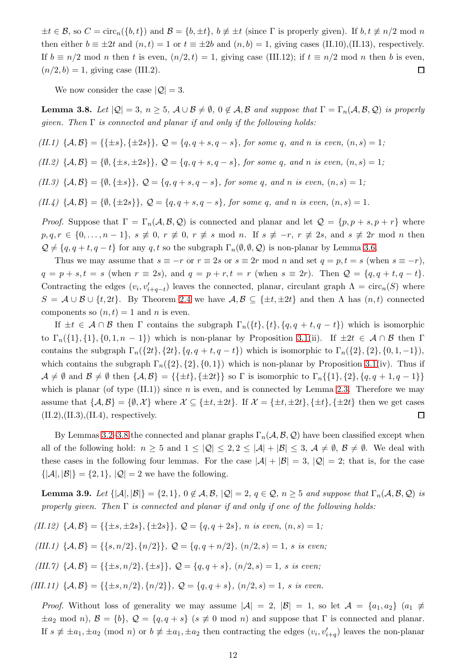$\pm t \in \mathcal{B}$ , so  $C = \text{circ}_n({b, t})$  and  $\mathcal{B} = {b, \pm t}$ ,  $b \neq \pm t$  (since  $\Gamma$  is properly given). If  $b, t \neq n/2$  mod n then either  $b \equiv \pm 2t$  and  $(n, t) = 1$  or  $t \equiv \pm 2b$  and  $(n, b) = 1$ , giving cases (II.10),(II.13), respectively. If  $b \equiv n/2 \mod n$  then t is even,  $(n/2, t) = 1$ , giving case (III.12); if  $t \equiv n/2 \mod n$  then b is even,  $(n/2, b) = 1$ , giving case (III.2).  $\Box$ 

We now consider the case  $|Q| = 3$ .

<span id="page-12-0"></span>**Lemma 3.8.** Let  $|Q| = 3$ ,  $n \geq 5$ ,  $A \cup B \neq \emptyset$ ,  $0 \notin A$ ,  $B$  and suppose that  $\Gamma = \Gamma_n(A, B, Q)$  is properly *given. Then* Γ *is connected and planar if and only if the following holds:*

*(II.1)* { $A, B$ } = {{±s}, {±2s}}*,*  $Q = {q, q + s, q - s}$ *, for some q, and n is even,*  $(n, s) = 1$ *;* 

 $(LI.2) \{A, B\} = \{\emptyset, \{\pm s, \pm 2s\}\}, Q = \{q, q + s, q - s\}, \text{ for some } q, \text{ and } n \text{ is even}, (n, s) = 1;$ 

*(II.3)* { $\mathcal{A}, \mathcal{B}$ } = { $\emptyset, \{\pm s\}$ },  $\mathcal{Q} = \{q, q + s, q - s\}$ , for some q, and n is even,  $(n, s) = 1$ ;

 $(II.4) \{A, B\} = \{\emptyset, \{\pm 2s\}\}, Q = \{q, q + s, q - s\}, \text{ for some } q, \text{ and } n \text{ is even}, (n, s) = 1.$ 

*Proof.* Suppose that  $\Gamma = \Gamma_n(\mathcal{A}, \mathcal{B}, \mathcal{Q})$  is connected and planar and let  $\mathcal{Q} = \{p, p + s, p + r\}$  where  $p, q, r \in \{0, \ldots, n-1\}, s \not\equiv 0, r \not\equiv 0, r \not\equiv s \mod n$ . If  $s \not\equiv -r, r \not\equiv 2s$ , and  $s \not\equiv 2r \mod n$  then  $\mathcal{Q} \neq \{q, q+t, q-t\}$  for any q, t so the subgraph  $\Gamma_n(\emptyset, \emptyset, \mathcal{Q})$  is non-planar by Lemma [3.6.](#page-10-0)

Thus we may assume that  $s \equiv -r$  or  $r \equiv 2s$  or  $s \equiv 2r \mod n$  and set  $q = p, t = s$  (when  $s \equiv -r$ ),  $q = p + s, t = s$  (when  $r \equiv 2s$ ), and  $q = p + r, t = r$  (when  $s \equiv 2r$ ). Then  $Q = \{q, q + t, q - t\}$ . Contracting the edges  $(v_i, v'_{i+q-t})$  leaves the connected, planar, circulant graph  $\Lambda = \text{circ}_n(S)$  where  $S = A \cup B \cup \{t, 2t\}$ . By Theorem [2.4](#page-6-0) we have  $A, B \subseteq \{\pm t, \pm 2t\}$  and then  $\Lambda$  has  $(n, t)$  connected components so  $(n, t) = 1$  and n is even.

If  $\pm t \in \mathcal{A} \cap \mathcal{B}$  then  $\Gamma$  contains the subgraph  $\Gamma_n({t}, {t}, {q, q + t, q - t})$  which is isomorphic to  $\Gamma_n({1}, {1}, {0, 1, n-1})$  which is non-planar by Proposition [3.1\(](#page-7-0)ii). If  $\pm 2t \in \mathcal{A} \cap \mathcal{B}$  then  $\Gamma$ contains the subgraph  $\Gamma_n({2t}, {4t}, {q, q + t, q - t})$  which is isomorphic to  $\Gamma_n({2}, {2}, {0, 1, -1})$ , which contains the subgraph  $\Gamma_n({2}, {2}, {0, 1})$  which is non-planar by Proposition [3.1\(](#page-7-0)iv). Thus if  $\mathcal{A} \neq \emptyset$  and  $\mathcal{B} \neq \emptyset$  then  $\{\mathcal{A}, \mathcal{B}\} = {\{\pm t\}, \{\pm 2t\}\}\$  so  $\Gamma$  is isomorphic to  $\Gamma_n\{\{1\},\{2\},\{q,q+1,q-1\}\}\$ which is planar (of type  $(II.1)$ ) since *n* is even, and is connected by Lemma [2.3.](#page-6-1) Therefore we may assume that  $\{\mathcal{A},\mathcal{B}\} = \{\emptyset,\mathcal{X}\}$  where  $\mathcal{X} \subseteq \{\pm t,\pm 2t\}$ . If  $\mathcal{X} = \{\pm t,\pm 2t\},\{\pm t\},\{\pm 2t\}$  then we get cases  $(II.2), (II.3), (II.4),$  respectively.  $\Box$ 

By Lemmas [3.2](#page-8-0)[–3.8](#page-12-0) the connected and planar graphs  $\Gamma_n(\mathcal{A}, \mathcal{B}, \mathcal{Q})$  have been classified except when all of the following hold:  $n \geq 5$  and  $1 \leq |\mathcal{Q}| \leq 2, 2 \leq |\mathcal{A}| + |\mathcal{B}| \leq 3, \mathcal{A} \neq \emptyset, \mathcal{B} \neq \emptyset$ . We deal with these cases in the following four lemmas. For the case  $|\mathcal{A}| + |\mathcal{B}| = 3$ ,  $|\mathcal{Q}| = 2$ ; that is, for the case  ${|\mathcal{A}|, |\mathcal{B}|} = {2, 1}, |\mathcal{Q}| = 2$  we have the following.

<span id="page-12-1"></span>**Lemma 3.9.** *Let*  $\{|\mathcal{A}|, |\mathcal{B}|\} = \{2, 1\}$ ,  $0 \notin \mathcal{A}, \mathcal{B}, |\mathcal{Q}| = 2$ ,  $q \in \mathcal{Q}, n \geq 5$  *and suppose that*  $\Gamma_n(\mathcal{A}, \mathcal{B}, \mathcal{Q})$  *is properly given. Then* Γ *is connected and planar if and only if one of the following holds:*

 $(II.12)$  { $\mathcal{A}, \mathcal{B}$ } = {{ $\pm s, \pm 2s$ }, { $\pm 2s$ }}*,*  $\mathcal{Q} = \{q, q + 2s\}$ *, n is even,*  $(n, s) = 1$ *;* 

*(III.1)*  $\{A, B\} = \{\{s, n/2\}, \{n/2\}\}\$ ,  $\mathcal{Q} = \{q, q + n/2\}$ ,  $(n/2, s) = 1$ , s is even;

*(III.7)*  $\{A, B\} = \{\{\pm s, n/2\}, \{\pm s\}\}\$ ,  $\mathcal{Q} = \{q, q + s\}$ ,  $(n/2, s) = 1$ , s is even;

*(III.11)*  $\{A, B\} = \{\{\pm s, n/2\}, \{n/2\}\}\$ ,  $Q = \{q, q + s\}, \ (n/2, s) = 1$ , s is even.

*Proof.* Without loss of generality we may assume  $|A| = 2$ ,  $|B| = 1$ , so let  $A = \{a_1, a_2\}$   $(a_1 \neq a_2)$  $\pm a_2 \mod n$ ,  $\mathcal{B} = \{b\}$ ,  $\mathcal{Q} = \{q, q+s\}$  ( $s \not\equiv 0 \mod n$ ) and suppose that  $\Gamma$  is connected and planar. If  $s \not\equiv \pm a_1, \pm a_2 \pmod{n}$  or  $b \not\equiv \pm a_1, \pm a_2$  then contracting the edges  $(v_i, v'_{i+q})$  leaves the non-planar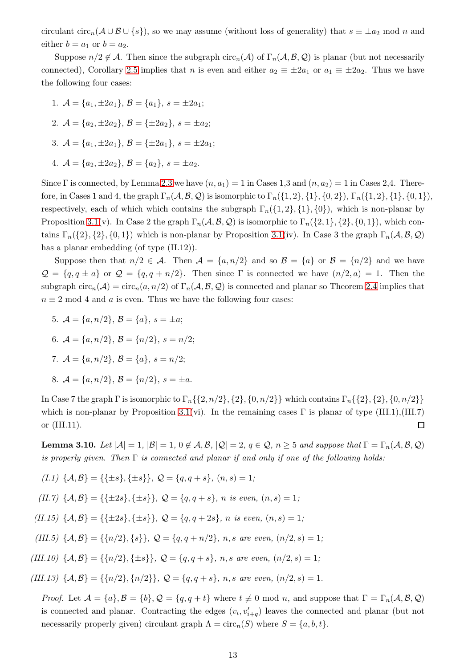circulant  $\text{circ}_n(A \cup B \cup \{s\})$ , so we may assume (without loss of generality) that  $s \equiv \pm a_2 \mod n$  and either  $b = a_1$  or  $b = a_2$ .

Suppose  $n/2 \notin \mathcal{A}$ . Then since the subgraph circ<sub>n</sub>( $\mathcal{A}$ ) of  $\Gamma_n(\mathcal{A}, \mathcal{B}, \mathcal{Q})$  is planar (but not necessarily connected), Corollary [2.5](#page-6-3) implies that n is even and either  $a_2 \equiv \pm 2a_1$  or  $a_1 \equiv \pm 2a_2$ . Thus we have the following four cases:

- 1.  $\mathcal{A} = \{a_1, \pm 2a_1\}, \mathcal{B} = \{a_1\}, \ s = \pm 2a_1;$
- 2.  $\mathcal{A} = \{a_2, \pm 2a_2\}, \mathcal{B} = \{\pm 2a_2\}, s = \pm a_2;$
- 3.  $\mathcal{A} = \{a_1, \pm 2a_1\}, \mathcal{B} = \{\pm 2a_1\}, s = \pm 2a_1;$
- 4.  $\mathcal{A} = \{a_2, \pm 2a_2\}, \mathcal{B} = \{a_2\}, \, s = \pm a_2.$

Since Γ is connected, by Lemma [2.3](#page-6-1) we have  $(n, a_1) = 1$  in Cases 1,3 and  $(n, a_2) = 1$  in Cases 2,4. Therefore, in Cases 1 and 4, the graph  $\Gamma_n(\mathcal{A}, \mathcal{B}, \mathcal{Q})$  is isomorphic to  $\Gamma_n(\{1, 2\}, \{1\}, \{0, 2\})$ ,  $\Gamma_n(\{1, 2\}, \{1\}, \{0, 1\})$ , respectively, each of which which contains the subgraph  $\Gamma_n({1, 2}, {1}, {0})$ , which is non-planar by Proposition [3.1\(](#page-7-0)v). In Case 2 the graph  $\Gamma_n(\mathcal{A}, \mathcal{B}, \mathcal{Q})$  is isomorphic to  $\Gamma_n({2, 1}, {2}, {0, 1})$ , which contains  $\Gamma_n({2}, {2}, {0, 1})$  which is non-planar by Proposition [3.1\(](#page-7-0)iv). In Case 3 the graph  $\Gamma_n(\mathcal{A}, \mathcal{B}, \mathcal{Q})$ has a planar embedding (of type  $(II.12)$ ).

Suppose then that  $n/2 \in \mathcal{A}$ . Then  $\mathcal{A} = \{a, n/2\}$  and so  $\mathcal{B} = \{a\}$  or  $\mathcal{B} = \{n/2\}$  and we have  $\mathcal{Q} = \{q, q \pm a\}$  or  $\mathcal{Q} = \{q, q + n/2\}$ . Then since  $\Gamma$  is connected we have  $(n/2, a) = 1$ . Then the subgraph circ<sub>n</sub>(A) = circ<sub>n</sub>(a, n/2) of  $\Gamma_n(\mathcal{A}, \mathcal{B}, \mathcal{Q})$  is connected and planar so Theorem [2.4](#page-6-0) implies that  $n \equiv 2 \mod 4$  and a is even. Thus we have the following four cases:

- 5.  $A = \{a, n/2\}, \mathcal{B} = \{a\}, s = \pm a;$
- 6.  $\mathcal{A} = \{a, n/2\}, \mathcal{B} = \{n/2\}, \ s = n/2;$
- 7.  $\mathcal{A} = \{a, n/2\}, \mathcal{B} = \{a\}, \ s = n/2;$
- 8.  $\mathcal{A} = \{a, n/2\}, \mathcal{B} = \{n/2\}, s = \pm a.$

In Case 7 the graph Γ is isomorphic to  $\Gamma_n$ {{2, n/2}, {2}, {0, n/2}} which contains  $\Gamma_n$ {{2}, {2}, {0, n/2}} which is non-planar by Proposition [3.1\(](#page-7-0)vi). In the remaining cases  $\Gamma$  is planar of type (III.1),(III.7) or (III.11).  $\Box$ 

<span id="page-13-0"></span>**Lemma 3.10.** *Let*  $|\mathcal{A}| = 1$ ,  $|\mathcal{B}| = 1$ ,  $0 \notin \mathcal{A}, \mathcal{B}, |\mathcal{Q}| = 2$ ,  $q \in \mathcal{Q}, n \geq 5$  and suppose that  $\Gamma = \Gamma_n(\mathcal{A}, \mathcal{B}, \mathcal{Q})$ *is properly given. Then* Γ *is connected and planar if and only if one of the following holds:*

$$
(I.1) \ \{A,B\} = \{\{\pm s\}, \{\pm s\}\}, \ \mathcal{Q} = \{q,q+s\}, \ (n,s) = 1;
$$

 $(II.7) \{A, B\} = {\{\pm 2s\}, \{\pm s\}\}, Q = {q, q + s}, n \text{ is even}, (n, s) = 1;$ 

 $(II.15) \{A, B\} = {\{\pm 2s\}, \{\pm s\}\}, Q = {q, q + 2s}, n \text{ is even}, (n, s) = 1;$ 

*(III.5)*  $\{A, B\} = \{\{n/2\}, \{s\}\}\$ ,  $\mathcal{Q} = \{q, q + n/2\}$ , *n, s are even,*  $(n/2, s) = 1$ ;

*(III.10)*  $\{A, B\} = \{\{n/2\}, \{\pm s\}\}\$ ,  $\mathcal{Q} = \{q, q + s\}$ , *n, s are even,*  $(n/2, s) = 1$ ;

*(III.13)*  $\{A, B\} = \{\{n/2\}, \{n/2\}\}, Q = \{q, q + s\}, n, s \text{ are even}, (n/2, s) = 1.$ 

*Proof.* Let  $\mathcal{A} = \{a\}, \mathcal{B} = \{b\}, \mathcal{Q} = \{q, q+t\}$  where  $t \neq 0 \text{ mod } n$ , and suppose that  $\Gamma = \Gamma_n(\mathcal{A}, \mathcal{B}, \mathcal{Q})$ is connected and planar. Contracting the edges  $(v_i, v'_{i+q})$  leaves the connected and planar (but not necessarily properly given) circulant graph  $\Lambda = \text{circ}_n(S)$  where  $S = \{a, b, t\}.$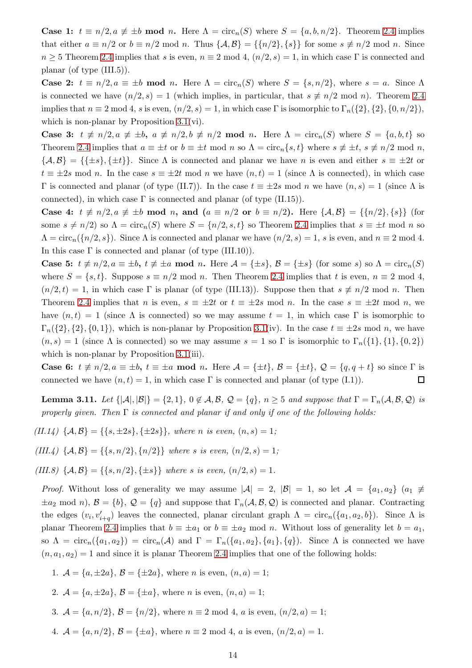**Case 1:**  $t \equiv n/2, a \not\equiv \pm b \mod n$ . Here  $\Lambda = \text{circ}_n(S)$  where  $S = \{a, b, n/2\}$ . Theorem [2.4](#page-6-0) implies that either  $a \equiv n/2$  or  $b \equiv n/2$  mod n. Thus  $\{A, B\} = \{\{n/2\}, \{s\}\}\$  for some  $s \not\equiv n/2$  mod n. Since  $n \geq 5$  Theorem [2.4](#page-6-0) implies that s is even,  $n \equiv 2 \mod 4$ ,  $(n/2, s) = 1$ , in which case Γ is connected and planar (of type (III.5)).

Case 2:  $t \equiv n/2, a \equiv \pm b \mod n$ . Here  $\Lambda = \text{circ}_n(S)$  where  $S = \{s, n/2\}$ , where  $s = a$ . Since  $\Lambda$ is connected we have  $(n/2, s) = 1$  (which implies, in particular, that  $s \neq n/2 \mod n$ ). Theorem [2.4](#page-6-0) implies that  $n \equiv 2 \mod 4$ , s is even,  $(n/2, s) = 1$ , in which case Γ is isomorphic to  $\Gamma_n({2}, {2}, {0}, n/2)$ , which is non-planar by Proposition [3.1\(](#page-7-0)vi).

Case 3:  $t \neq n/2, a \neq \pm b, a \neq n/2, b \neq n/2 \mod n$ . Here  $\Lambda = \text{circ}_n(S)$  where  $S = \{a, b, t\}$  so Theorem [2.4](#page-6-0) implies that  $a \equiv \pm t$  or  $b \equiv \pm t$  mod n so  $\Lambda = \text{circ}_n\{s, t\}$  where  $s \not\equiv \pm t$ ,  $s \not\equiv n/2$  mod n,  $\{\mathcal{A},\mathcal{B}\} = \{\{\pm s\},\{\pm t\}\}\.$  Since  $\Lambda$  is connected and planar we have n is even and either  $s \equiv \pm 2t$  or  $t \equiv \pm 2s \mod n$ . In the case  $s \equiv \pm 2t \mod n$  we have  $(n, t) = 1$  (since  $\Lambda$  is connected), in which case Γ is connected and planar (of type (II.7)). In the case  $t \equiv \pm 2s$  mod n we have  $(n, s) = 1$  (since Λ is connected), in which case  $\Gamma$  is connected and planar (of type (II.15)).

Case 4:  $t \neq n/2, a \neq \pm b \mod n$ , and  $(a \equiv n/2 \text{ or } b \equiv n/2)$ . Here  $\{A, B\} = \{\{n/2\}, \{s\}\}\$  (for some  $s \neq n/2$ ) so  $\Lambda = \text{circ}_n(S)$  where  $S = \{n/2, s, t\}$  so Theorem [2.4](#page-6-0) implies that  $s \equiv \pm t \mod n$  so  $\Lambda = \text{circ}_n({n/2, s})$ . Since  $\Lambda$  is connected and planar we have  $(n/2, s) = 1$ , s is even, and  $n \equiv 2 \mod 4$ . In this case  $\Gamma$  is connected and planar (of type (III.10)).

**Case 5:**  $t \neq n/2, a \equiv \pm b, t \neq \pm a \mod n$ . Here  $\mathcal{A} = {\pm s}$ ,  $\mathcal{B} = {\pm s}$  (for some s) so  $\Lambda = \text{circ}_n(S)$ where  $S = \{s, t\}$ . Suppose  $s \equiv n/2 \mod n$ . Then Theorem [2.4](#page-6-0) implies that t is even,  $n \equiv 2 \mod 4$ ,  $(n/2, t) = 1$ , in which case  $\Gamma$  is planar (of type (III.13)). Suppose then that  $s \neq n/2$  mod n. Then Theorem [2.4](#page-6-0) implies that n is even,  $s \equiv \pm 2t$  or  $t \equiv \pm 2s$  mod n. In the case  $s \equiv \pm 2t$  mod n, we have  $(n, t) = 1$  (since  $\Lambda$  is connected) so we may assume  $t = 1$ , in which case  $\Gamma$  is isomorphic to  $\Gamma_n({2}, {2}, {0}, 1)$ , which is non-planar by Proposition [3.1\(](#page-7-0)iv). In the case  $t \equiv \pm 2s$  mod n, we have  $(n, s) = 1$  (since  $\Lambda$  is connected) so we may assume  $s = 1$  so  $\Gamma$  is isomorphic to  $\Gamma_n({1}, {1}, {0, 2})$ which is non-planar by Proposition [3.1\(](#page-7-0)iii).

**Case 6:**  $t \neq n/2, a \equiv \pm b, t \equiv \pm a \mod n$ . Here  $\mathcal{A} = {\pm t}$ ,  $\mathcal{B} = {\pm t}$ ,  $\mathcal{Q} = {q, q + t}$  so since  $\Gamma$  is connected we have  $(n, t) = 1$ , in which case  $\Gamma$  is connected and planar (of type (I.1)).  $\Box$ 

<span id="page-14-0"></span>**Lemma 3.11.** *Let*  $\{|\mathcal{A}|, |\mathcal{B}|\} = \{2, 1\}, 0 \notin \mathcal{A}, \mathcal{B}, \mathcal{Q} = \{q\}, n \geq 5 \text{ and suppose that } \Gamma = \Gamma_n(\mathcal{A}, \mathcal{B}, \mathcal{Q}) \text{ is }$ *properly given. Then* Γ *is connected and planar if and only if one of the following holds:*

- $(II.14) \{A, B\} = {\{s, \pm 2s\}, \{\pm 2s\}\}\$ , where *n* is even,  $(n, s) = 1$ ;
- *(III.4)*  $\{A, B\} = \{\{s, n/2\}, \{n/2\}\}\$  *where s is even,*  $(n/2, s) = 1$ *;*
- *(III.8)*  $\{A, B\} = \{\{s, n/2\}, \{\pm s\}\}\$  *where s is even,*  $(n/2, s) = 1$ *.*

*Proof.* Without loss of generality we may assume  $|\mathcal{A}| = 2$ ,  $|\mathcal{B}| = 1$ , so let  $\mathcal{A} = \{a_1, a_2\}$   $(a_1 \neq a_2)$  $\pm a_2$  mod n),  $\mathcal{B} = \{b\}$ ,  $\mathcal{Q} = \{q\}$  and suppose that  $\Gamma_n(\mathcal{A}, \mathcal{B}, \mathcal{Q})$  is connected and planar. Contracting the edges  $(v_i, v'_{i+q})$  leaves the connected, planar circulant graph  $\Lambda = \text{circ}_n(\{a_1, a_2, b\})$ . Since  $\Lambda$  is planar Theorem [2.4](#page-6-0) implies that  $b \equiv \pm a_1$  or  $b \equiv \pm a_2$  mod n. Without loss of generality let  $b = a_1$ , so  $\Lambda = \text{circ}_n(\{a_1, a_2\}) = \text{circ}_n(\mathcal{A})$  and  $\Gamma = \Gamma_n(\{a_1, a_2\}, \{a_1\}, \{q\})$ . Since  $\Lambda$  is connected we have  $(n, a_1, a_2) = 1$  and since it is planar Theorem [2.4](#page-6-0) implies that one of the following holds:

- 1.  $A = \{a, \pm 2a\}, B = \{\pm 2a\}, \text{ where } n \text{ is even}, (n, a) = 1;$
- 2.  $A = \{a, \pm 2a\}, B = \{\pm a\}, \text{ where } n \text{ is even}, (n, a) = 1;$
- 3.  $A = \{a, n/2\}, \mathcal{B} = \{n/2\}, \text{ where } n \equiv 2 \text{ mod } 4, a \text{ is even}, (n/2, a) = 1;$
- 4.  $A = \{a, n/2\}, \mathcal{B} = \{\pm a\},\$  where  $n \equiv 2 \mod 4, a$  is even,  $(n/2, a) = 1$ .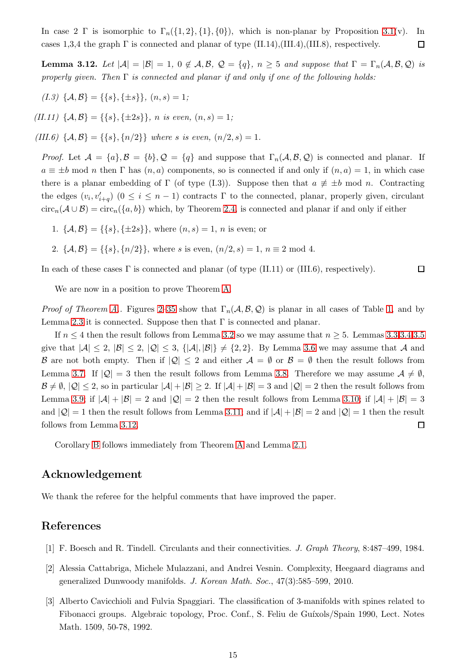In case 2 Γ is isomorphic to  $\Gamma_n({1, 2}, {1}, {0})$ , which is non-planar by Proposition [3.1\(](#page-7-0)v). In cases 1,3,4 the graph  $\Gamma$  is connected and planar of type (II.14),(III.4),(III.8), respectively.  $\Box$ 

<span id="page-15-3"></span>**Lemma 3.12.** Let  $|A| = |B| = 1$ ,  $0 \notin A, B, Q = \{q\}$ ,  $n \geq 5$  and suppose that  $\Gamma = \Gamma_n(A, B, Q)$  is *properly given. Then* Γ *is connected and planar if and only if one of the following holds:*

 $(I.3) \{A, B\} = \{\{s\}, \{\pm s\}\}, (n, s) = 1;$ 

*(II.11)*  $\{A, B\} = \{\{s\}, \{\pm 2s\}\}, n \text{ is even, } (n, s) = 1;$ 

*(III.6)*  $\{A, B\} = \{\{s\}, \{n/2\}\}\$  *where s is even,*  $(n/2, s) = 1$ *.* 

*Proof.* Let  $A = \{a\}, \mathcal{B} = \{b\}, \mathcal{Q} = \{q\}$  and suppose that  $\Gamma_n(A, \mathcal{B}, \mathcal{Q})$  is connected and planar. If  $a \equiv \pm b \mod n$  then  $\Gamma$  has  $(n, a)$  components, so is connected if and only if  $(n, a) = 1$ , in which case there is a planar embedding of  $\Gamma$  (of type (I.3)). Suppose then that  $a \neq \pm b$  mod n. Contracting the edges  $(v_i, v'_{i+q})$   $(0 \le i \le n-1)$  contracts  $\Gamma$  to the connected, planar, properly given, circulant  $circ_n(A\cup B) = circ_n({a, b})$  which, by Theorem [2.4,](#page-6-0) is connected and planar if and only if either

- 1.  $\{A, B\} = \{\{s\}, \{\pm 2s\}\}\$ , where  $(n, s) = 1$ , n is even; or
- 2.  $\{A, B\} = \{\{s\}, \{n/2\}\}\$ , where s is even,  $(n/2, s) = 1$ ,  $n \equiv 2 \mod 4$ .

In each of these cases  $\Gamma$  is connected and planar (of type (II.11) or (III.6), respectively).  $\Box$ 

We are now in a position to prove Theorem [A.](#page-4-1)

*Proof of Theorem [A.](#page-4-1)*. Figures [2](#page-18-1)[–35](#page-26-0) show that  $\Gamma_n(\mathcal{A}, \mathcal{B}, \mathcal{Q})$  is planar in all cases of Table [1,](#page-17-0) and by Lemma [2.3](#page-6-1) it is connected. Suppose then that  $\Gamma$  is connected and planar.

If  $n \leq 4$  then the result follows from Lemma [3.2](#page-8-0) so we may assume that  $n \geq 5$ . Lemmas [3.3](#page-9-1)[,3.4](#page-9-0)[,3.5](#page-10-1) give that  $|A| \leq 2$ ,  $|B| \leq 2$ ,  $|Q| \leq 3$ ,  $\{|A|, |B|\} \neq \{2, 2\}$ . By Lemma [3.6](#page-10-0) we may assume that A and B are not both empty. Then if  $|Q| \leq 2$  and either  $A = \emptyset$  or  $B = \emptyset$  then the result follows from Lemma [3.7.](#page-11-0) If  $|Q| = 3$  then the result follows from Lemma [3.8.](#page-12-0) Therefore we may assume  $A \neq \emptyset$ ,  $\mathcal{B} \neq \emptyset$ ,  $|\mathcal{Q}| \leq 2$ , so in particular  $|\mathcal{A}| + |\mathcal{B}| \geq 2$ . If  $|\mathcal{A}| + |\mathcal{B}| = 3$  and  $|\mathcal{Q}| = 2$  then the result follows from Lemma [3.9;](#page-12-1) if  $|A| + |B| = 2$  and  $|Q| = 2$  then the result follows from Lemma [3.10;](#page-13-0) if  $|A| + |B| = 3$ and  $|Q|=1$  then the result follows from Lemma [3.11;](#page-14-0) and if  $|A|+|B|=2$  and  $|Q|=1$  then the result follows from Lemma [3.12.](#page-15-3)  $\Box$ 

Corollary [B](#page-4-2) follows immediately from Theorem [A](#page-4-1) and Lemma [2.1.](#page-4-0)

## Acknowledgement

We thank the referee for the helpful comments that have improved the paper.

## <span id="page-15-2"></span>References

- <span id="page-15-0"></span>[1] F. Boesch and R. Tindell. Circulants and their connectivities. *J. Graph Theory*, 8:487–499, 1984.
- <span id="page-15-1"></span>[2] Alessia Cattabriga, Michele Mulazzani, and Andrei Vesnin. Complexity, Heegaard diagrams and generalized Dunwoody manifolds. *J. Korean Math. Soc.*, 47(3):585–599, 2010.
- [3] Alberto Cavicchioli and Fulvia Spaggiari. The classification of 3-manifolds with spines related to Fibonacci groups. Algebraic topology, Proc. Conf., S. Feliu de Guíxols/Spain 1990, Lect. Notes Math. 1509, 50-78, 1992.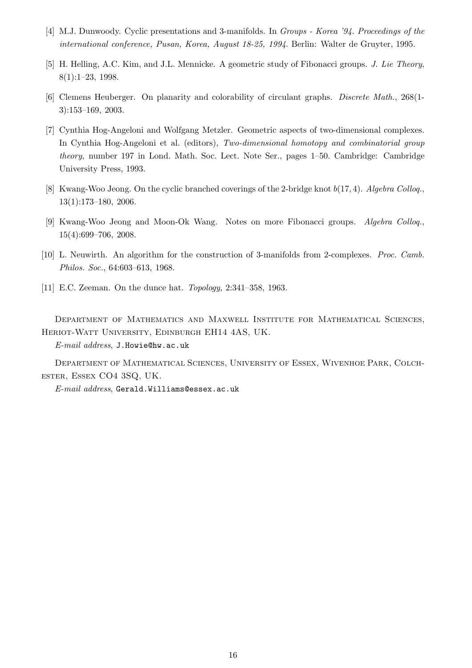- <span id="page-16-3"></span><span id="page-16-0"></span>[4] M.J. Dunwoody. Cyclic presentations and 3-manifolds. In *Groups - Korea '94. Proceedings of the international conference, Pusan, Korea, August 18-25, 1994*. Berlin: Walter de Gruyter, 1995.
- <span id="page-16-7"></span>[5] H. Helling, A.C. Kim, and J.L. Mennicke. A geometric study of Fibonacci groups. *J. Lie Theory*, 8(1):1–23, 1998.
- <span id="page-16-2"></span>[6] Clemens Heuberger. On planarity and colorability of circulant graphs. *Discrete Math.*, 268(1- 3):153–169, 2003.
- [7] Cynthia Hog-Angeloni and Wolfgang Metzler. Geometric aspects of two-dimensional complexes. In Cynthia Hog-Angeloni et al. (editors), *Two-dimensional homotopy and combinatorial group theory*, number 197 in Lond. Math. Soc. Lect. Note Ser., pages 1–50. Cambridge: Cambridge University Press, 1993.
- <span id="page-16-5"></span><span id="page-16-4"></span>[8] Kwang-Woo Jeong. On the cyclic branched coverings of the 2-bridge knot b(17, 4). *Algebra Colloq.*, 13(1):173–180, 2006.
- <span id="page-16-1"></span>[9] Kwang-Woo Jeong and Moon-Ok Wang. Notes on more Fibonacci groups. *Algebra Colloq.*, 15(4):699–706, 2008.
- <span id="page-16-6"></span>[10] L. Neuwirth. An algorithm for the construction of 3-manifolds from 2-complexes. *Proc. Camb. Philos. Soc.*, 64:603–613, 1968.
- [11] E.C. Zeeman. On the dunce hat. *Topology*, 2:341–358, 1963.

Department of Mathematics and Maxwell Institute for Mathematical Sciences, Heriot-Watt University, Edinburgh EH14 4AS, UK.

*E-mail address*, J.Howie@hw.ac.uk

Department of Mathematical Sciences, University of Essex, Wivenhoe Park, Colchester, Essex CO4 3SQ, UK.

*E-mail address*, Gerald.Williams@essex.ac.uk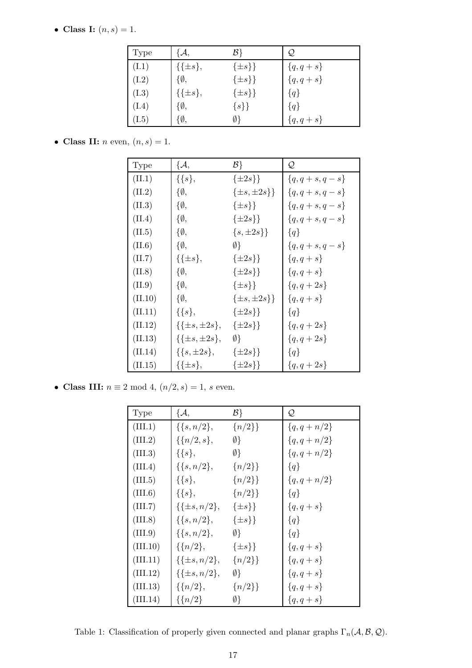• Class I:  $(n, s) = 1$ .

| Type  | $\mathcal{A},$  | $\mathcal{B}\}$ | Q,           |
|-------|-----------------|-----------------|--------------|
| (I.1) | $\{\{\pm s\},\$ | $\{\pm s\}\}\$  | $\{q, q+s\}$ |
| (I.2) | $\{\emptyset,$  | $\{\pm s\}\}\$  | ${q, q+s}$   |
| (I.3) | $\{\{\pm s\},\$ | $\{\pm s\}\}\$  | ${q}$        |
| (I.4) | $\{\emptyset,$  | $\{s\}\}\$      | ${q}$        |
| (I.5) | $\{\emptyset,$  | Ø}              | ${q, q+s}$   |

• Class II:  $n$  even,  $(n, s) = 1$ .

| Type    | ${A, \,}$               | $\mathcal{B}$          | Q               |
|---------|-------------------------|------------------------|-----------------|
| (II.1)  | $\{\{s\},\$             | $\{\pm 2s\}\}\$        | ${q, q+s, q-s}$ |
| (II.2)  | $\{\emptyset,$          | $\{\pm s, \pm 2s\}\}\$ | ${q, q+s, q-s}$ |
| (II.3)  | $\{\emptyset,$          | $\{\pm s\}\}\$         | ${q, q+s, q-s}$ |
| (II.4)  | $\{\emptyset,$          | $\{\pm 2s\}\}\$        | ${q, q+s, q-s}$ |
| (II.5)  | $\{\emptyset,$          | $\{s, \pm 2s\}\}\$     | ${q}$           |
| (II.6)  | $\{\emptyset,$          | Ø}                     | ${q, q+s, q-s}$ |
| (II.7)  | $\{\{\pm s\},\$         | $\{\pm 2s\}\}\$        | ${q, q + s}$    |
| (II.8)  | $\{\emptyset,$          | $\{\pm 2s\}\}\$        | ${q, q + s}$    |
| (II.9)  | $\{\emptyset,$          | $\{\pm s\}\}\$         | ${q, q + 2s}$   |
| (II.10) | $\{\emptyset,$          | $\{\pm s, \pm 2s\}\}\$ | ${q, q + s}$    |
| (II.11) | $\{\{s\},\$             | $\{\pm 2s\}\}\$        | ${q}$           |
| (II.12) | $\{\{\pm s, \pm 2s\},\$ | $\{\pm 2s\}\}\$        | ${q, q + 2s}$   |
| (II.13) | $\{\{\pm s, \pm 2s\},\$ | $\emptyset$            | ${q, q + 2s}$   |
| (II.14) | $\{\{s, \pm 2s\},\}$    | $\{\pm 2s\}\}\$        | ${q}$           |
| (II.15) | $\{\{\pm s\},\$         | $\{\pm 2s\}\}\$        | ${q, q + 2s}$   |

• Class III:  $n\equiv 2\bmod 4,$   $(n/2,s)=1,$   $s$  even.

| Type     | ${A, \nightharpoonup$ | $\mathcal{B}$  | Q              |
|----------|-----------------------|----------------|----------------|
| (III.1)  | $\{\{s, n/2\},\}$     | ${n/2}$        | $\{q, q+n/2\}$ |
| (III.2)  | $\{\{n/2, s\},\}$     | $\emptyset$    | $\{q, q+n/2\}$ |
| (III.3)  | $\{\{s\},\$           | $\emptyset$    | $\{q, q+n/2\}$ |
| (III.4)  | $\{\{s, n/2\},\}$     | ${n/2}$        | ${q}$          |
| (III.5)  | $\{\{s\},\$           | ${n/2}$        | $\{q, q+n/2\}$ |
| (III.6)  | $\{\{s\},\$           | ${n/2}$        | ${q}$          |
| (III.7)  | $\{\{\pm s, n/2\},\}$ | $\{\pm s\}\}\$ | ${q, q + s}$   |
| (III.8)  | $\{\{s, n/2\},\}$     | $\{\pm s\}\}\$ | ${q}$          |
| (III.9)  | $\{\{s, n/2\},\}$     | $\emptyset$    | ${q}$          |
| (III.10) | $\{\{n/2\},\}$        | $\{\pm s\}\}\$ | ${q, q+s}$     |
| (III.11) | $\{\{\pm s, n/2\},\}$ | ${n/2}$        | ${q, q+s}$     |
| (III.12) | $\{\{\pm s, n/2\},\}$ | $\emptyset$    | ${q, q + s}$   |
| (III.13) | $\{\{n/2\},\}$        | ${n/2}$ }      | ${q, q+s}$     |
| (III.14) | $\{\{n/2\}\}$         | Ø}             | ${q, q + s}$   |

<span id="page-17-0"></span>Table 1: Classification of properly given connected and planar graphs  $\Gamma_n(\mathcal{A}, \mathcal{B}, \mathcal{Q})$ .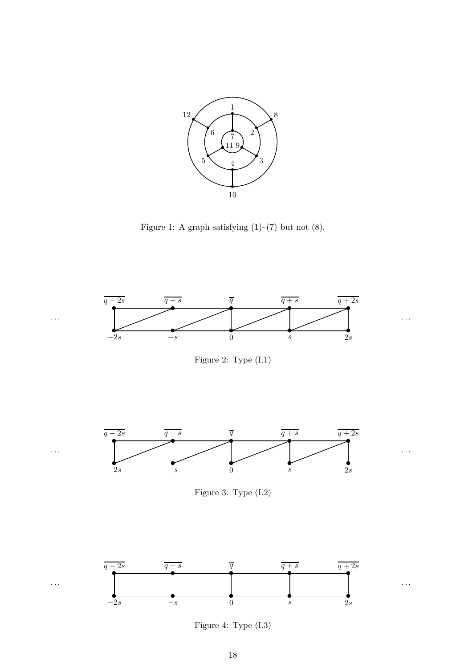

<span id="page-18-0"></span>Figure 1: A graph satisfying  $(1)$ – $(7)$  but not  $(8)$ .





<span id="page-18-1"></span>Figure 3: Type (I.2)



<span id="page-18-2"></span>Figure 4: Type (I.3)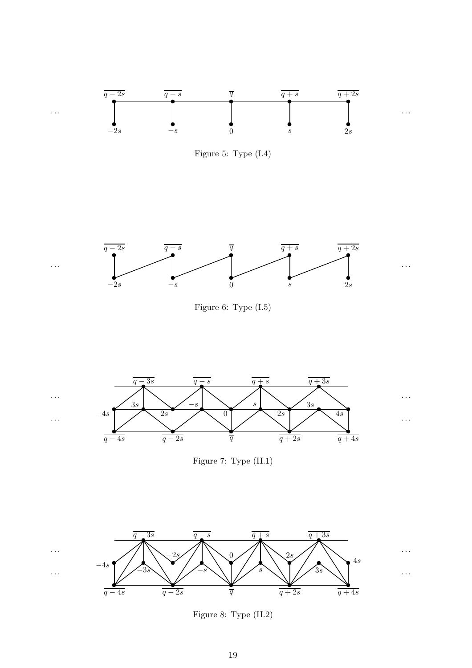





Figure 6: Type (I.5)



Figure 7: Type (II.1)

· · ·

· · ·



Figure 8: Type (II.2)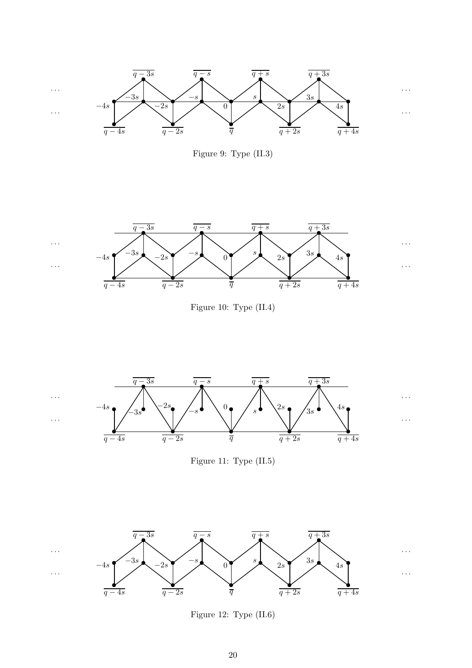

Figure 9: Type (II.3)



Figure 10: Type (II.4)

· · ·

· · ·



· · ·

· · ·

Figure 11: Type (II.5)



Figure 12: Type (II.6)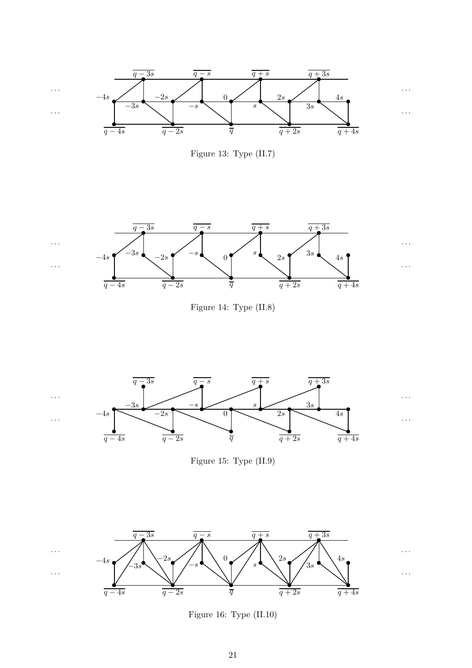

Figure 13: Type (II.7)



Figure 14: Type (II.8)



Figure 15: Type (II.9)



Figure 16: Type (II.10)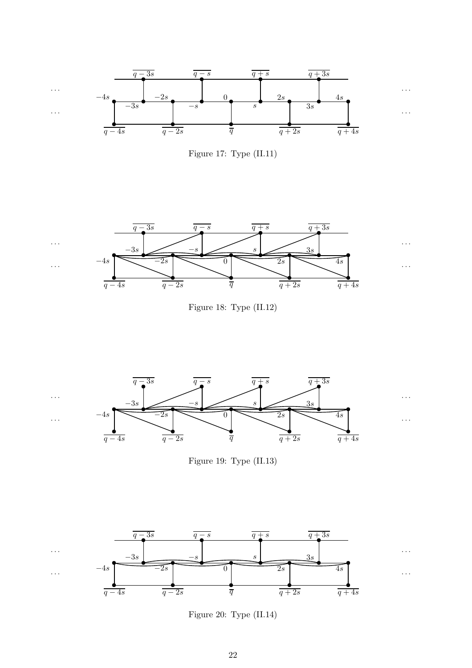

<span id="page-22-0"></span>



Figure 18: Type (II.12)



Figure 19: Type (II.13)



<span id="page-22-1"></span>Figure 20: Type (II.14)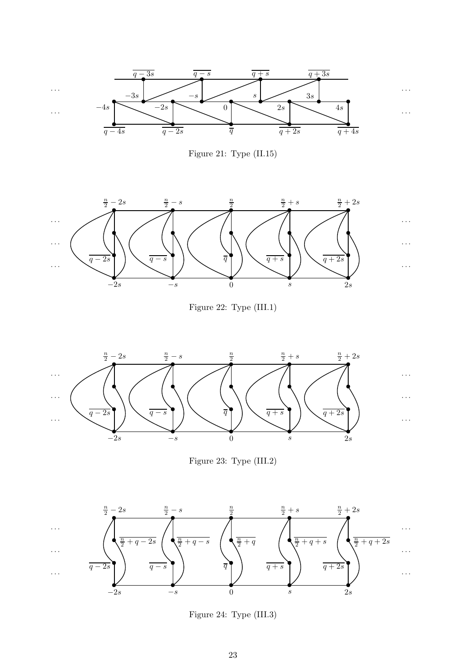

Figure 21: Type (II.15)



<span id="page-23-0"></span>Figure 22: Type (III.1)

· · ·

· · ·

· · ·



<span id="page-23-1"></span>Figure 23: Type (III.2)



Figure 24: Type (III.3)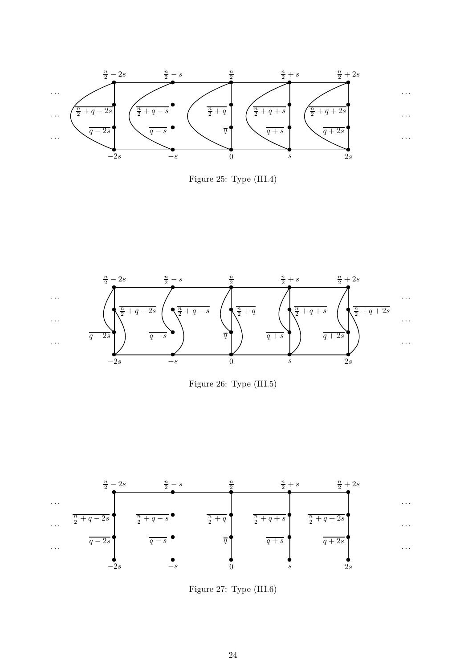





Figure 26: Type (III.5)



Figure 27: Type (III.6)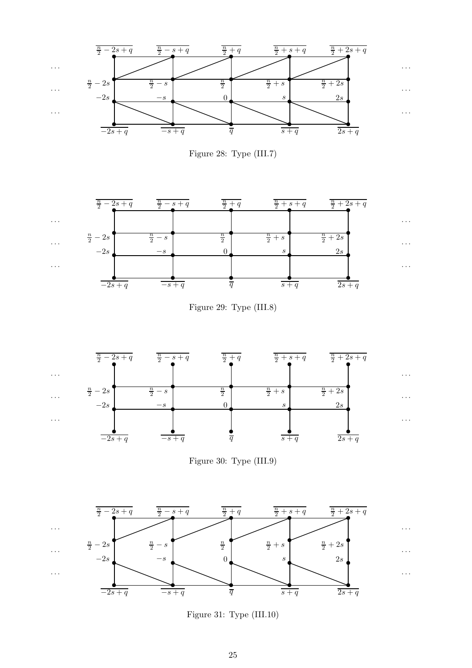













Figure 31: Type (III.10)